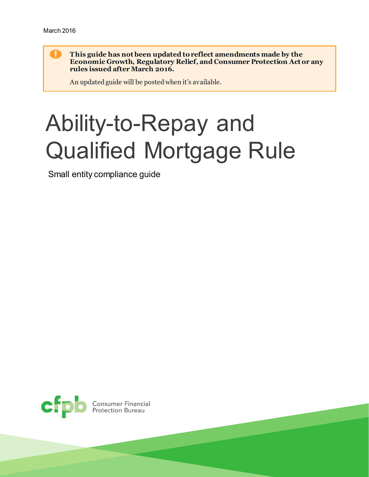**This guide has not been updated to reflect amendments made by the Economic Growth, Regulatory Relief, and Consumer Protection Act or any rules issued after March 2016.**

An updated guide will be posted when it's available.

# Ability-to-Repay and Qualified Mortgage Rule

Small entity compliance guide



**Consumer Financial<br>Protection Bureau**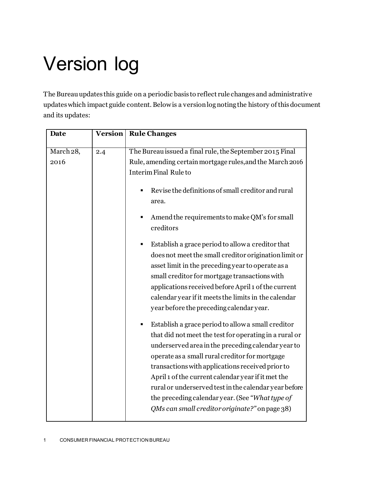# Version log

The Bureau updates this guide on a periodic basis to reflect rule changes and administrative updates which impact guide content. Below is a version log noting the history of this document and its updates:

| <b>Date</b> | <b>Version</b> | <b>Rule Changes</b>                                                                                                                                                                                                                                                                                                                                                                                                                                                                               |
|-------------|----------------|---------------------------------------------------------------------------------------------------------------------------------------------------------------------------------------------------------------------------------------------------------------------------------------------------------------------------------------------------------------------------------------------------------------------------------------------------------------------------------------------------|
|             |                |                                                                                                                                                                                                                                                                                                                                                                                                                                                                                                   |
| March 28,   | 2.4            | The Bureau issued a final rule, the September 2015 Final                                                                                                                                                                                                                                                                                                                                                                                                                                          |
| 2016        |                | Rule, amending certain mortgage rules, and the March 2016                                                                                                                                                                                                                                                                                                                                                                                                                                         |
|             |                | <b>Interim Final Ruleto</b>                                                                                                                                                                                                                                                                                                                                                                                                                                                                       |
|             |                | Revise the definitions of small creditor and rural<br>area.                                                                                                                                                                                                                                                                                                                                                                                                                                       |
|             |                | Amend the requirements to make QM's for small<br>creditors                                                                                                                                                                                                                                                                                                                                                                                                                                        |
|             |                | Establish a grace period to allow a creditor that<br>does not meet the small creditor origination limit or<br>asset limit in the preceding year to operate as a<br>small creditor for mortgage transactions with<br>applications received before April 1 of the current<br>calendar year if it meets the limits in the calendar<br>year before the preceding calendar year.                                                                                                                       |
|             |                | Establish a grace period to allow a small creditor<br>٠<br>that did not meet the test for operating in a rural or<br>underserved area in the preceding calendar year to<br>operate as a small rural creditor for mortgage<br>transactions with applications received prior to<br>April 1 of the current calendar year if it met the<br>rural or underserved test in the calendar year before<br>the preceding calendar year. (See "What type of<br>QMs can small creditor originate?" on page 38) |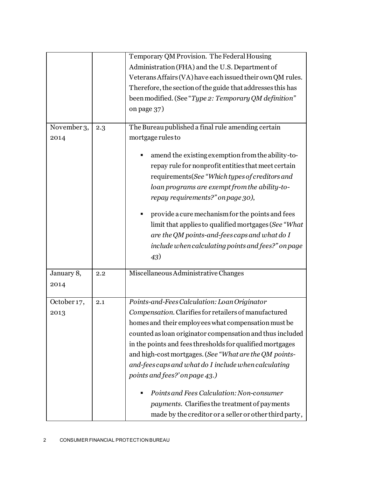|             |     | Temporary QM Provision. The Federal Housing                 |
|-------------|-----|-------------------------------------------------------------|
|             |     | Administration (FHA) and the U.S. Department of             |
|             |     | Veterans Affairs (VA) have each issued their own QM rules.  |
|             |     | Therefore, the section of the guide that addresses this has |
|             |     | been modified. (See "Type 2: Temporary QM definition"       |
|             |     | on page 37)                                                 |
|             |     |                                                             |
| November 3, | 2.3 | The Bureau published a final rule amending certain          |
| 2014        |     | mortgage rules to                                           |
|             |     | amend the existing exemption from the ability-to-           |
|             |     | repay rule for nonprofit entities that meet certain         |
|             |     | requirements(See "Which types of creditors and              |
|             |     | loan programs are exempt from the ability-to-               |
|             |     | repay requirements?" on page 30),                           |
|             |     | provide a cure mechanism for the points and fees            |
|             |     | limit that applies to qualified mortgages (See "What        |
|             |     | are the QM points-and-fees caps and what do I               |
|             |     | include when calculating points and fees?" on page          |
|             |     | 43)                                                         |
|             |     |                                                             |
| January 8,  | 2.2 | Miscellaneous Administrative Changes                        |
| 2014        |     |                                                             |
| October 17, | 2.1 | Points-and-Fees Calculation: Loan Originator                |
| 2013        |     | Compensation. Clarifies for retailers of manufactured       |
|             |     | homes and their employees what compensation must be         |
|             |     | counted as loan originator compensation and thus included   |
|             |     | in the points and fees thresholds for qualified mortgages   |
|             |     | and high-cost mortgages. (See "What are the QM points-      |
|             |     | and-fees caps and what do I include when calculating        |
|             |     | points and fees?' on page 43.)                              |
|             |     | Points and Fees Calculation: Non-consumer                   |
|             |     | <i>payments.</i> Clarifies the treatment of payments        |
|             |     | made by the creditor or a seller or other third party,      |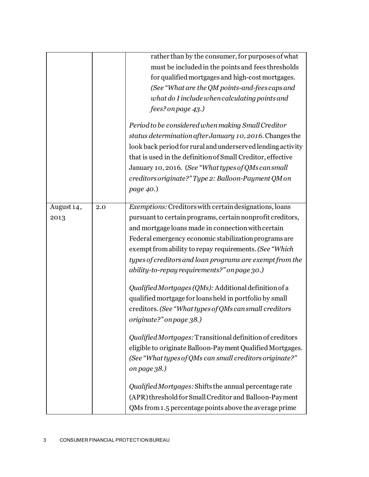|            |     | rather than by the consumer, for purposes of what                                                        |
|------------|-----|----------------------------------------------------------------------------------------------------------|
|            |     | must be included in the points and fees thresholds                                                       |
|            |     | for qualified mortgages and high-cost mortgages.                                                         |
|            |     | (See "What are the QM points-and-fees caps and                                                           |
|            |     | what do I include when calculating points and                                                            |
|            |     | fees? on page 43.)                                                                                       |
|            |     | Period to be considered when making Small Creditor                                                       |
|            |     | status determination after January 10, 2016. Changes the                                                 |
|            |     | look back period for rural and underserved lending activity                                              |
|            |     | that is used in the definition of Small Creditor, effective                                              |
|            |     | January 10, 2016. (See "What types of QMs can small                                                      |
|            |     | creditors originate?" Type 2: Balloon-Payment QM on                                                      |
|            |     | page 40.)                                                                                                |
| August 14, | 2.0 | Exemptions: Creditors with certain designations, loans                                                   |
| 2013       |     | pursuant to certain programs, certain nonprofit creditors,                                               |
|            |     | and mortgage loans made in connection with certain                                                       |
|            |     |                                                                                                          |
|            |     | Federal emergency economic stabilization programs are                                                    |
|            |     | exempt from ability to repay requirements. (See "Which                                                   |
|            |     | types of creditors and loan programs are exempt from the<br>ability-to-repay requirements?" on page 30.) |
|            |     |                                                                                                          |
|            |     | Qualified Mortgages (QMs): Additional definition of a                                                    |
|            |     | qualified mortgage for loans held in portfolio by small                                                  |
|            |     | creditors. (See "What types of QMs can small creditors                                                   |
|            |     | originate?" on page 38.)                                                                                 |
|            |     |                                                                                                          |
|            |     | Qualified Mortgages: Transitional definition of creditors                                                |
|            |     | eligible to originate Balloon-Payment Qualified Mortgages.                                               |
|            |     | (See "What types of QMs can small creditors originate?"<br>on page 38.)                                  |
|            |     | Qualified Mortgages: Shifts the annual percentage rate                                                   |
|            |     | (APR) threshold for Small Creditor and Balloon-Payment                                                   |
|            |     | QMs from 1.5 percentage points above the average prime                                                   |
|            |     |                                                                                                          |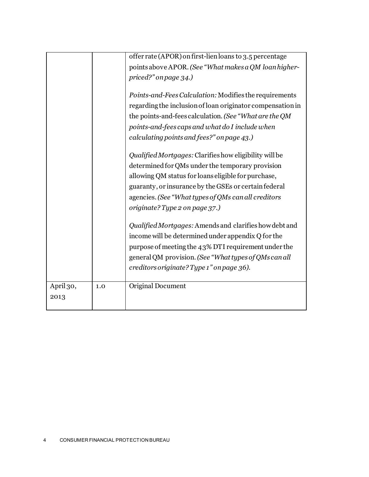|           |     | offer rate (APOR) on first-lien loans to 3.5 percentage    |
|-----------|-----|------------------------------------------------------------|
|           |     | points above APOR. (See "What makes a QM loan higher-      |
|           |     | priced?" on page 34.)                                      |
|           |     |                                                            |
|           |     | Points-and-Fees Calculation: Modifies the requirements     |
|           |     | regarding the inclusion of loan originator compensation in |
|           |     | the points-and-fees calculation. (See "What are the QM     |
|           |     | points-and-fees caps and what do I include when            |
|           |     | calculating points and fees?" on page 43.)                 |
|           |     |                                                            |
|           |     | Qualified Mortgages: Clarifies how eligibility will be     |
|           |     | determined for QMs under the temporary provision           |
|           |     | allowing QM status for loans eligible for purchase,        |
|           |     | guaranty, or insurance by the GSEs or certain federal      |
|           |     | agencies. (See "What types of QMs can all creditors        |
|           |     | originate? Type 2 on page 37.)                             |
|           |     |                                                            |
|           |     | Qualified Mortgages: Amends and clarifies how debt and     |
|           |     | income will be determined under appendix Q for the         |
|           |     | purpose of meeting the 43% DTI requirement under the       |
|           |     | general QM provision. (See "What types of QMs can all      |
|           |     | creditors originate? Type 1" on page 36).                  |
|           |     |                                                            |
| April 30, | 1.0 | Original Document                                          |
| 2013      |     |                                                            |
|           |     |                                                            |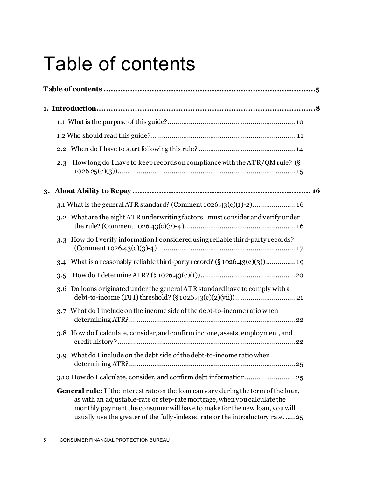# Table of contents

|    | 2.3 | How long do I have to keep records on compliance with the ATR/QM rule? (§                                                                                                                                                                                                                                                            |  |
|----|-----|--------------------------------------------------------------------------------------------------------------------------------------------------------------------------------------------------------------------------------------------------------------------------------------------------------------------------------------|--|
| 3. |     |                                                                                                                                                                                                                                                                                                                                      |  |
|    |     |                                                                                                                                                                                                                                                                                                                                      |  |
|    |     | 3.2 What are the eight ATR underwriting factors I must consider and verify under                                                                                                                                                                                                                                                     |  |
|    |     | 3.3 How do I verify information I considered using reliable third-party records?                                                                                                                                                                                                                                                     |  |
|    |     | 3.4 What is a reasonably reliable third-party record? $(\S 1026.43(c)(3))$ 19                                                                                                                                                                                                                                                        |  |
|    | 3.5 |                                                                                                                                                                                                                                                                                                                                      |  |
|    |     | 3.6 Do loans originated under the general ATR standard have to comply with a                                                                                                                                                                                                                                                         |  |
|    |     | 3.7 What do I include on the income side of the debt-to-income ratio when                                                                                                                                                                                                                                                            |  |
|    |     | 3.8 How do I calculate, consider, and confirm income, assets, employment, and                                                                                                                                                                                                                                                        |  |
|    |     | 3.9 What do I include on the debt side of the debt-to-income ratio when                                                                                                                                                                                                                                                              |  |
|    |     |                                                                                                                                                                                                                                                                                                                                      |  |
|    |     | <b>General rule:</b> If the interest rate on the loan can vary during the term of the loan,<br>as with an adjustable-rate or step-rate mortgage, when you calculate the<br>monthly payment the consumer will have to make for the new loan, you will<br>usually use the greater of the fully-indexed rate or the introductory rate25 |  |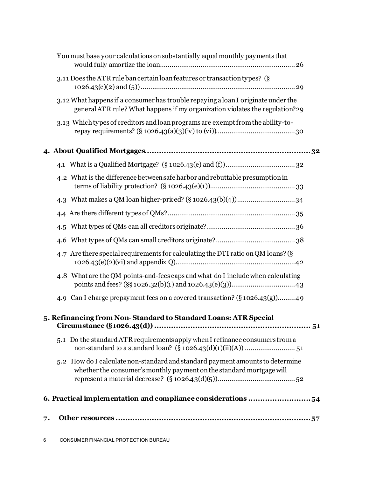| You must base your calculations on substantially equal monthly payments that                                                                                       |
|--------------------------------------------------------------------------------------------------------------------------------------------------------------------|
| 3.11 Does the ATR rule ban certain loan features or transaction types? (§                                                                                          |
| 3.12 What happens if a consumer has trouble repaying a loan I originate under the<br>general ATR rule? What happens if my organization violates the regulation? 29 |
| 3.13 Which types of creditors and loan programs are exempt from the ability-to-                                                                                    |
|                                                                                                                                                                    |
|                                                                                                                                                                    |
| 4.2 What is the difference between safe harbor and rebuttable presumption in                                                                                       |
|                                                                                                                                                                    |
|                                                                                                                                                                    |
|                                                                                                                                                                    |
|                                                                                                                                                                    |
| 4.7 Are there special requirements for calculating the DTI ratio on QM loans? (§                                                                                   |
| 4.8 What are the QM points-and-fees caps and what do I include when calculating                                                                                    |
| 4.9 Can I charge prepayment fees on a covered transaction? (§1026.43(g))49                                                                                         |
| 5. Refinancing from Non-Standard to Standard Loans: ATR Special                                                                                                    |
| 5.1 Do the standard ATR requirements apply when I refinance consumers from a                                                                                       |
| 5.2 How do I calculate non-standard and standard payment amounts to determine<br>whether the consumer's monthly payment on the standard mortgage will              |
|                                                                                                                                                                    |
| 7.                                                                                                                                                                 |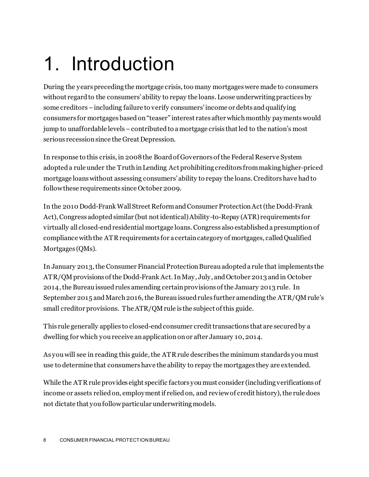# 1. Introduction

During the years preceding the mortgage crisis, too many mortgages were made to consumers without regard to the consumers' ability to repay the loans. Loose underwriting practices by some creditors – including failure to verify consumers' income or debts and qualifying consumers for mortgages based on "teaser" interest rates after which monthly payments would jump to unaffordable levels – contributed to a mortgage crisis that led to the nation's most serious recession since the Great Depression.

In response to this crisis, in 2008 the Board of Governors of the Federal Reserve System adopted a rule under the Truth in Lending Act prohibiting creditors from making higher-priced mortgage loans without assessing consumers' ability to repay the loans. Creditors have had to follow these requirements since October 2009.

In the 2010 Dodd-Frank Wall Street Reform and Consumer Protection Act (the Dodd-Frank Act), Congress adopted similar (but not identical) Ability-to-Repay (ATR) requirements for virtually all closed-end residential mortgage loans. Congress also established a presumption of compliance with the ATR requirements for a certain category of mortgages, called Qualified Mortgages (QMs).

In January 2013, the Consumer Financial Protection Bureau adopted a rule that implements the ATR/QM provisions of the Dodd-Frank Act. In May, July, and October 2013 and in October 2014, the Bureau issued rules amending certain provisions of the January 2013 rule. In September 2015 and March 2016, the Bureau issued rules further amending the ATR/QM rule's small creditor provisions. The ATR/QM rule is the subject of this guide.

This rule generally applies to closed-end consumer credit transactions that are secured by a dwelling for which you receive an application on or after January 10, 2014.

As you will see in reading this guide, the ATR rule describes the minimum standards you must use to determine that consumers have the ability to repay the mortgages they are extended.

While the ATR rule provides eight specific factors you must consider (including verifications of income or assets relied on, employment if relied on, and review of credit history), the rule does not dictate that you follow particular underwriting models.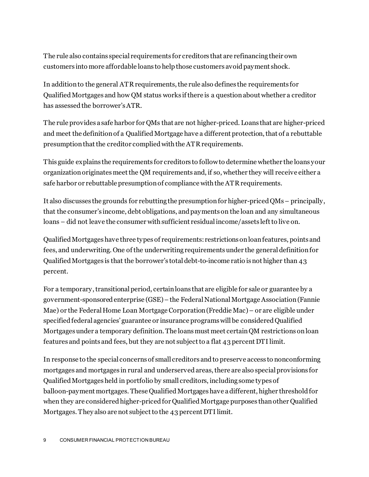The rule also contains special requirements for creditors that are refinancing their own customers into more affordable loans to help those customers avoid payment shock.

In addition to the general ATR requirements, the rule also defines the requirements for Qualified Mortgages and how QM status works if there is a question about whether a creditor has assessed the borrower's ATR.

The rule provides a safe harbor for QMs that are not higher-priced. Loans that are higher-priced and meet the definition of a Qualified Mortgage have a different protection, that of a rebuttable presumption that the creditor complied with the ATR requirements.

This guide explains the requirements for creditors to follow to determine whether the loans your organization originates meet the QM requirements and, if so, whether they will receive either a safe harbor or rebuttable presumption of compliance with the ATR requirements.

It also discusses the grounds for rebutting the presumption for higher-priced QMs – principally, that the consumer's income, debt obligations, and payments on the loan and any simultaneous loans – did not leave the consumer with sufficient residual income/assets left to live on.

Qualified Mortgages have three types of requirements: restrictions on loan features, points and fees, and underwriting. One of the underwriting requirements under the general definition for Qualified Mortgages is that the borrower's total debt-to-income ratio is not higher than 43 percent.

For a temporary, transitional period, certain loans that are eligible for sale or guarantee by a government-sponsored enterprise (GSE) – the Federal National Mortgage Association (Fannie Mae) or the Federal Home Loan Mortgage Corporation (Freddie Mac) – or are eligible under specified federal agencies' guarantee or insurance programs will be considered Qualified Mortgages under a temporary definition. The loans must meet certain QM restrictions on loan features and points and fees, but they are not subject to a flat 43 percent DTI limit.

In response to the special concerns of small creditors and to preserve access to nonconforming mortgages and mortgages in rural and underserved areas, there are also special provisions for Qualified Mortgages held in portfolio by small creditors, including some types of balloon-payment mortgages. These Qualified Mortgages have a different, higher threshold for when they are considered higher-priced for Qualified Mortgage purposes than other Qualified Mortgages. They also are not subject to the 43 percent DTI limit.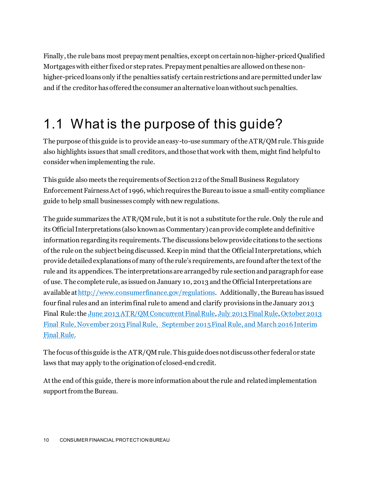Finally, the rule bans most prepayment penalties, except on certain non-higher-priced Qualified Mortgages with either fixed or step rates. Prepayment penalties are allowed on these nonhigher-priced loans only if the penalties satisfy certain restrictions and are permitted under law and if the creditor has offered the consumer an alternative loan without such penalties.

# 1.1 What is the purpose of this guide?

The purpose of this guide is to provide an easy-to-use summary of the ATR/QM rule. This guide also highlights issues that small creditors, and those that work with them, might find helpful to consider when implementing the rule.

This guide also meets the requirements of Section 212 of the Small Business Regulatory Enforcement Fairness Act of 1996, which requires the Bureau to issue a small-entity compliance guide to help small businesses comply with new regulations.

The guide summarizes the ATR/QM rule, but it is not a substitute for the rule. Only the rule and its Official Interpretations (also known as Commentary) can provide complete and definitive information regarding its requirements. The discussions below provide citations to the sections of the rule on the subject being discussed. Keep in mind that the Official Interpretations, which provide detailed explanations of many of the rule's requirements, are found after the text of the rule and its appendices. The interpretations are arranged by rule section and paragraph for ease of use. The complete rule, as issued on January 10, 2013 and the Official Interpretations are available a[t http://www.consumerfinance.gov/regulations.](http://www.consumerfinance.gov/regulations/Ability-To-Repay-and-qualified-mortgage-standards-under-the-truth-in-lending-act-regulation-z/) Additionally, the Bureau has issued four final rules and an interim final rule to amend and clarify provisions in the January 2013 Final Rule: the [June 2013 ATR/QM Concurrent Final Rule,](https://www.federalregister.gov/articles/2013/06/12/2013-13173/ability-to-repay-and-qualified-mortgage-standards-under-the-truth-in-lending-act-regulation-z) [July 2013 Final Rule,](https://www.federalregister.gov/articles/2013/07/24/2013-16962/amendments-to-the-2013-mortgage-rules-under-the-real-estate-settlement-procedures-act-regulation-x) [October 2013](https://www.federalregister.gov/articles/2013/10/01/2013-22752/amendments-to-the-2013-mortgage-rules-under-the-equal-credit-opportunity-act-regulation-b-real?utm_campaign=subscription+mailing+list&utm_medium=email&utm_source=federalregister.gov)  [Final Rule, November 2013 Final Rule, September 2015 Final Rule, and March2016 Interim](https://www.federalregister.gov/articles/2013/10/01/2013-22752/amendments-to-the-2013-mortgage-rules-under-the-equal-credit-opportunity-act-regulation-b-real?utm_campaign=subscription+mailing+list&utm_medium=email&utm_source=federalregister.gov)  [Final Rule.](https://www.federalregister.gov/articles/2013/10/01/2013-22752/amendments-to-the-2013-mortgage-rules-under-the-equal-credit-opportunity-act-regulation-b-real?utm_campaign=subscription+mailing+list&utm_medium=email&utm_source=federalregister.gov) 

The focus of this guide is the ATR/QM rule. This guide does not discuss other federal or state laws that may apply to the origination of closed-end credit.

At the end of this guide, there is more information about the rule and related implementation support from the Bureau.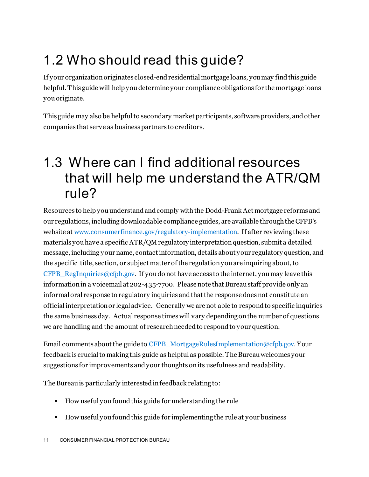# 1.2 Who should read this guide?

If your organization originates closed-end residential mortgage loans, you may find this guide helpful. This guide will help you determine your compliance obligations for the mortgage loans you originate.

This guide may also be helpful to secondary market participants, software providers, and other companies that serve as business partners to creditors.

### 1.3 Where can I find additional resources that will help me understand the ATR/QM rule?

Resources to help you understand and comply with the Dodd-Frank Act mortgage reforms and our regulations, including downloadable compliance guides, are available through the CFPB's website at [www.consumerfinance.gov/regulatory-implementation.](http://www.consumerfinance.gov/regulatory-implementation) If after reviewing these materials you have a specific ATR/QM regulatory interpretation question, submit a detailed message, including your name, contact information, details about your regulatory question, and the specific title, section, or subject matter of the regulation you are inquiring about, to [CFPB\\_RegInquiries@cfpb.gov](mailto:CFPB_RegInquiries@cfpb.gov). If you do not have access to the internet, you may leave this information in a voicemail at 202-435-7700. Please note that Bureau staff provide only an informal oral response to regulatory inquiries and that the response does not constitute an official interpretation or legal advice. Generally we are not able to respond to specific inquiries the same business day. Actual response times will vary depending on the number of questions we are handling and the amount of research needed to respond to your question.

Email comments about the guide to [CFPB\\_MortgageRulesImplementation@cfpb.gov.](mailto:CFPB_MortgageRulesImplementation@cfpb.gov) Your feedback is crucial to making this guide as helpful as possible. The Bureau welcomes your suggestions for improvements and your thoughts on its usefulness and readability.

The Bureau is particularly interested in feedback relating to:

- How useful you found this guide for understanding the rule
- How useful you found this guide for implementing the rule at your business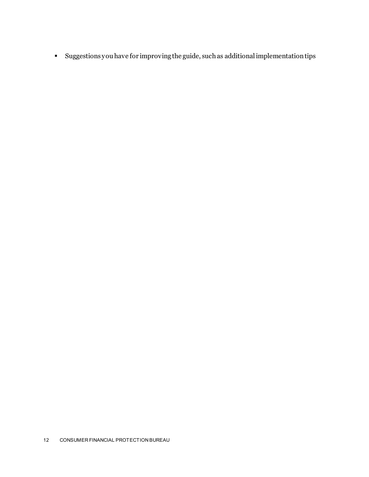Suggestions you have for improving the guide, such as additional implementation tips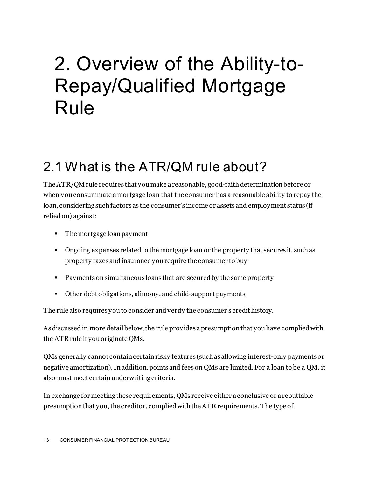# 2. Overview of the Ability-to-Repay/Qualified Mortgage Rule

# 2.1 What is the ATR/QM rule about?

The ATR/QM rule requires that you make a reasonable, good-faith determination before or when you consummate a mortgage loan that the consumer has a reasonable ability to repay the loan, considering such factors as the consumer's income or assets and employment status (if relied on) against:

- The mortgage loan payment
- Ongoing expenses related to the mortgage loan or the property that secures it, such as property taxes and insurance you require the consumer to buy
- **Payments on simultaneous loans that are secured by the same property**
- Other debt obligations, alimony, and child-support payments

The rule also requires you to consider and verify the consumer's credit history.

As discussed in more detail below, the rule provides a presumption that you have complied with the ATR rule if you originate QMs.

QMs generally cannot contain certain risky features (such as allowing interest-only payments or negative amortization). In addition, points and fees on QMs are limited. For a loan to be a QM, it also must meet certain underwriting criteria.

In exchange for meeting these requirements, QMs receive either a conclusive or a rebuttable presumption that you, the creditor, complied with the ATR requirements. The type of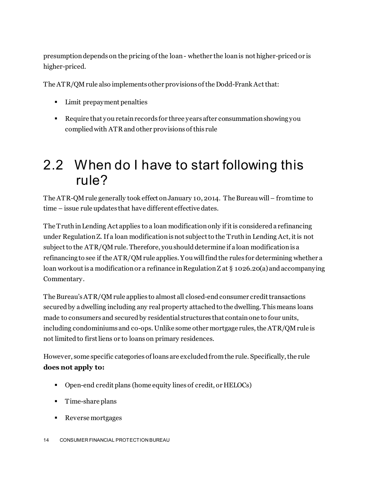presumption depends on the pricing of the loan - whether the loan is not higher-priced or is higher-priced.

The ATR/QM rule also implements other provisions of the Dodd-Frank Act that:

- Limit prepayment penalties
- Require that you retain records for three years after consummation showing you complied with ATR and other provisions of this rule

## 2.2 When do I have to start following this rule?

<span id="page-14-0"></span>The ATR-QM rule generally took effect on January 10, 2014. The Bureau will – from time to time – issue rule updates that have different effective dates.

The Truth in Lending Act applies to a loan modification only if it is considered a refinancing under Regulation Z. If a loan modification is not subject to the Truth in Lending Act, it is not subject to the ATR/QM rule. Therefore, you should determine if a loan modification is a refinancing to see if the ATR/QM rule applies. You will find the rules for determining whether a loan workout is a modification or a refinance in Regulation Z at § 1026.20(a) and accompanying Commentary.

The Bureau's ATR/QM rule applies to almost all closed-end consumer credit transactions secured by a dwelling including any real property attached to the dwelling. This means loans made to consumers and secured by residential structures that contain one to four units, including condominiums and co-ops. Unlike some other mortgage rules, the ATR/QM rule is not limited to first liens or to loans on primary residences.

However, some specific categories of loans are excluded from the rule. Specifically, the rule **does not apply to:**

- Open-end credit plans (home equity lines of credit, or HELOCs)
- **Time-share plans**
- Reverse mortgages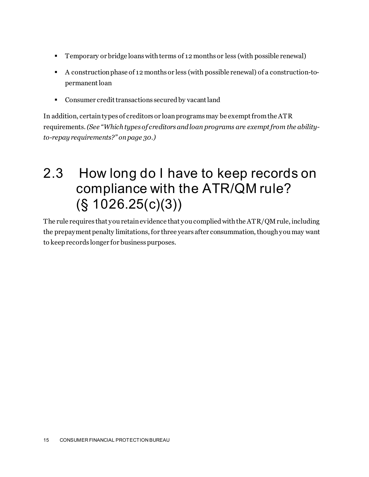- Temporary or bridge loans with terms of 12 months or less (with possible renewal)
- A construction phase of 12 months or less (with possible renewal) of a construction-topermanent loan
- Consumer credit transactions secured by vacant land

In addition, certain types of creditors or loan programs may be exempt from the ATR requirements. *(See "Which types of creditors and loan programs are exempt from the abilityto-repay requirements?" on page 30.)*

## 2.3 How long do I have to keep records on compliance with the ATR/QM rule? (§ 1026.25(c)(3))

The rule requires that you retain evidence that you complied with the ATR/QM rule, including the prepayment penalty limitations, for three years after consummation, though you may want to keep records longer for business purposes.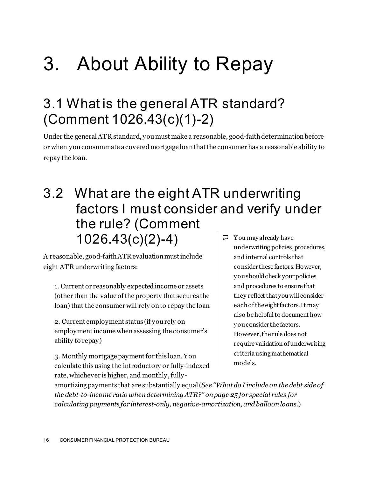# 3. About Ability to Repay

# 3.1 What is the general ATR standard? (Comment 1026.43(c)(1)-2)

Under the general ATR standard, you must make a reasonable, good-faith determination before or when you consummate a covered mortgage loan that the consumer has a reasonable ability to repay the loan.

#### 3.2 What are the eight ATR underwriting factors I must consider and verify under the rule? (Comment 1026.43(c)(2)-4)  $\Box$  You may already have

A reasonable, good-faith ATR evaluation must include eight ATR underwriting factors:

1.Current or reasonably expected income or assets (other than the value of the property that secures the loan) that the consumer will rely on to repay the loan

2. Current employment status (if you rely on employment income when assessing the consumer's ability to repay)

3. Monthly mortgage payment for this loan. You calculate this using the introductory or fully-indexed rate, whichever is higher, and monthly, fullyunderwriting policies, procedures, and internal controls that consider these factors. However, y ou should check your policies and procedures to ensure that they reflect that you will consider each of the eight factors. It may also behelpful to document how y ou consider the factors. However, the rule does not require validation of underwriting criteria using mathematical models.

amortizing payments that are substantially equal (*See "What do I include on the debt side of the debt-to-income ratio when determining ATR?" on pag[e 25](#page-25-0) for special rules for calculating payments for interest-only, negative-amortization, and balloon loans*.)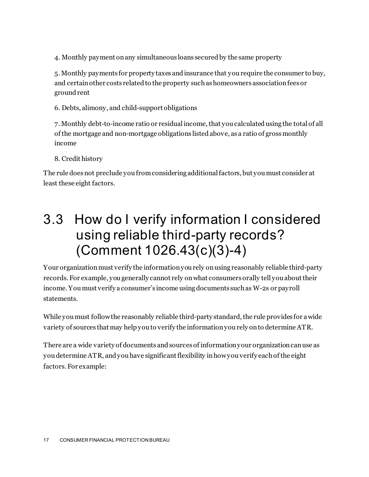4. Monthly payment on any simultaneous loans secured by the same property

5. Monthly payments for property taxes and insurance that you require the consumer to buy, and certain other costs related to the property such as homeowners association fees or ground rent

6. Debts, alimony, and child-support obligations

7. Monthly debt-to-income ratio or residual income, that you calculated using the total of all of the mortgage and non-mortgage obligations listed above, as a ratio of gross monthly income

8. Credit history

The rule does not preclude you from considering additional factors, but you must consider at least these eight factors.

## 3.3 How do I verify information I considered using reliable third-party records? (Comment 1026.43(c)(3)-4)

Your organization must verify the information you rely on using reasonably reliable third-party records. For example, you generally cannot rely on what consumers orally tell you about their income. You must verify a consumer's income using documents such as W-2s or payroll statements.

While you must follow the reasonably reliable third-party standard, the rule provides for a wide variety of sources that may help you to verify the information you rely on to determine ATR.

There are a wide variety of documents and sources of information your organization can use as you determine ATR, and you have significant flexibility in how you verify each of the eight factors. For example: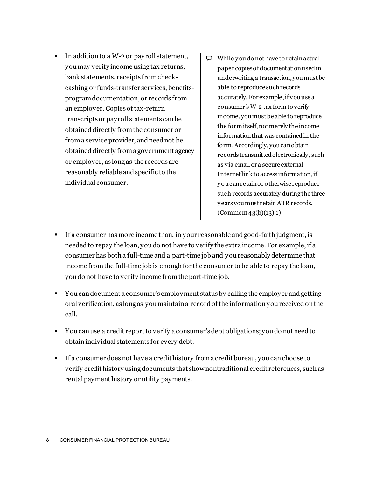- In addition to a W-2 or payroll statement, you may verify income using tax returns, bank statements, receipts from checkcashing or funds-transfer services, benefitsprogram documentation, or records from an employer. Copies of tax-return transcripts or payroll statements can be obtained directly from the consumer or from a service provider, and need not be obtained directly from a government agency or employer, as long as the records are reasonably reliable and specific to the individual consumer.
- $\Box$  While you do not have to retain actual paper copies of documentation used in underwriting a transaction, you must be able to reproduce such records accurately. For example, if y ou use a consumer's W-2 tax form to verify income, you must be able to reproduce the form itself, not merely the income information that was contained in the form. Accordingly, you can obtain records transmitted electronically, such as via email or a secure external Internet link to access information, if y ou can retain or otherwise reproduce such records accurately during the three y ears you must retain ATR records. (Comment 43(b)(13)-1)
- If a consumer has more income than, in your reasonable and good-faith judgment, is needed to repay the loan, you do not have to verify the extra income. For example, if a consumer has both a full-time and a part-time job and you reasonably determine that income from the full-time job is enough for the consumer to be able to repay the loan, you do not have to verify income from the part-time job.
- You can document a consumer's employment status by calling the employer and getting oral verification, as long as you maintain a record of the information you received on the call.
- You can use a credit report to verify a consumer's debt obligations; you do not need to obtain individual statements for every debt.
- If a consumer does not have a credit history from a credit bureau, you can choose to verify credit history using documents that show nontraditional credit references, such as rental payment history or utility payments.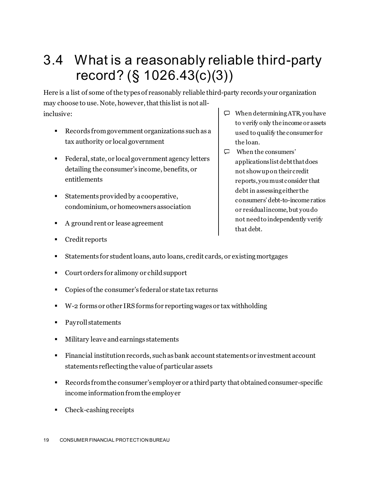# 3.4 What is a reasonably reliable third-party record? (§ 1026.43(c)(3))

Here is a list of some of the types of reasonably reliable third-party records your organization may choose to use. Note, however, that this list is not allinclusive:

- Records from government organizations such as a tax authority or local government
- Federal, state, or local government agency letters detailing the consumer's income, benefits, or entitlements
- Statements provided by a cooperative, condominium, or homeowners association
- A ground rent or lease agreement
- **Credit reports**
- Statements for student loans, auto loans, credit cards, or existing mortgages
- Court orders for alimony or child support
- Copies of the consumer's federal or state tax returns
- W-2 forms or other IRS forms for reporting wages or tax withholding
- Payroll statements
- Military leave and earnings statements
- Financial institution records, such as bank account statements or investment account statements reflecting the value of particular assets
- Records from the consumer's employer or a third party that obtained consumer-specific income information from the employer
- Check-cashing receipts
- $\Box$  When determining ATR, you have to verify only the income or assets used to qualify the consumer for the loan.
- When the consumers' applications list debt that does not show up on their credit reports, you must consider that debt in assessing either the consumers' debt-to-income ratios or residual income, but you do not need to independently verify that debt.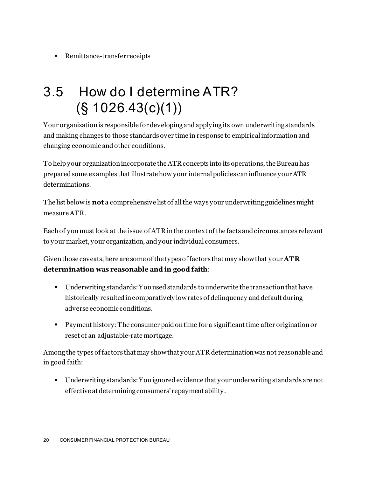Remittance-transfer receipts

# 3.5 How do I determine ATR?  $(S 1026.43(c)(1))$

Your organization is responsible for developing and applying its own underwriting standards and making changes to those standards over time in response to empirical information and changing economic and other conditions.

To help your organization incorporate the ATR concepts into its operations, the Bureau has prepared some examples that illustrate how your internal policies can influence your ATR determinations.

The list below is **not** a comprehensive list of all the ways your underwriting guidelines might measure ATR.

Each of you must look at the issue of ATR in the context of the facts and circumstances relevant to your market, your organization, and your individual consumers.

Given those caveats, here are some of the types of factors that may show that your **ATR determination was reasonable and in good faith**:

- Underwriting standards: You used standards to underwrite the transaction that have historically resulted in comparatively low rates of delinquency and default during adverse economic conditions.
- Payment history: The consumer paid on time for a significant time after origination or reset of an adjustable-rate mortgage.

Among the types of factors that may show that your ATR determination was not reasonable and in good faith:

 Underwriting standards: You ignored evidence that your underwriting standards are not effective at determining consumers' repayment ability.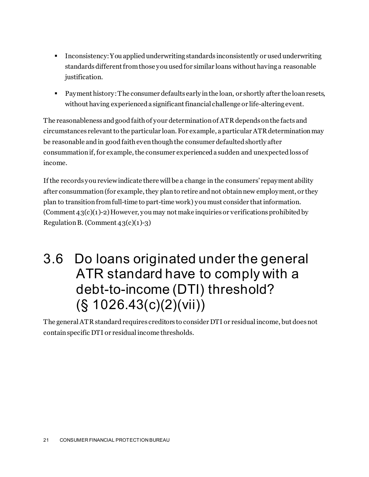- Inconsistency: You applied underwriting standards inconsistently or usedunderwriting standards different from those you used for similar loans without having a reasonable justification.
- Payment history: The consumer defaults early in the loan, or shortly after the loan resets, without having experienced a significant financial challenge or life-altering event.

The reasonableness and good faith of your determination of ATR depends on the facts and circumstances relevant to the particular loan. For example, a particular ATR determination may be reasonable and in good faith even though the consumer defaulted shortly after consummation if, for example, the consumer experienced a sudden and unexpected loss of income.

If the records you review indicate there will be a change in the consumers' repayment ability after consummation (for example, they plan to retire and not obtain new employment, or they plan to transition from full-time to part-time work) you must consider that information. (Comment  $43(c)(1)-2$ ) However, you may not make inquiries or verifications prohibited by Regulation B. (Comment  $43(c)(1)-3$ )

## 3.6 Do loans originated under the general ATR standard have to comply with a debt-to-income (DTI) threshold? (§ 1026.43(c)(2)(vii))

The general ATR standard requires creditors to consider DTI or residual income, but does not contain specific DTI or residual income thresholds.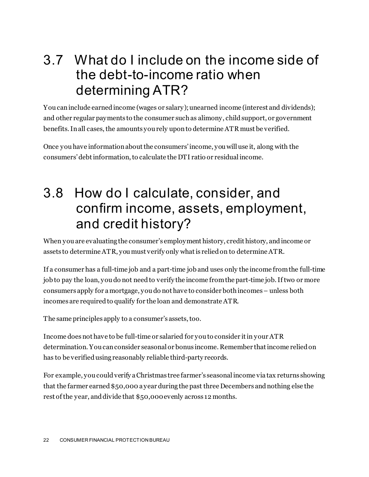## 3.7 What do I include on the income side of the debt-to-income ratio when determining ATR?

You can include earned income (wages or salary); unearned income (interest and dividends); and other regular payments to the consumer such as alimony, child support, or government benefits. In all cases, the amounts you rely upon to determine ATR must be verified.

Once you have information about the consumers' income, you will use it, along with the consumers' debt information, to calculate the DTI ratio or residual income.

## 3.8 How do I calculate, consider, and confirm income, assets, employment, and credit history?

When you are evaluating the consumer's employment history, credit history, and income or assets to determine ATR, you must verify only what is relied on to determine ATR.

If a consumer has a full-time job and a part-time job and uses only the income from the full-time job to pay the loan, you do not need to verify the income from the part-time job. If two or more consumers apply for a mortgage, you do not have to consider both incomes – unless both incomes are required to qualify for the loan and demonstrate ATR.

The same principles apply to a consumer's assets, too.

Income does not have to be full-time or salaried for you to consider it in your ATR determination. You can consider seasonal or bonus income. Remember that income relied on has to be verified using reasonably reliable third-party records.

For example, you could verify a Christmas tree farmer's seasonal income via tax returns showing that the farmer earned \$50,000 a year during the past three Decembers and nothing else the rest of the year, and divide that \$50,000 evenly across 12 months.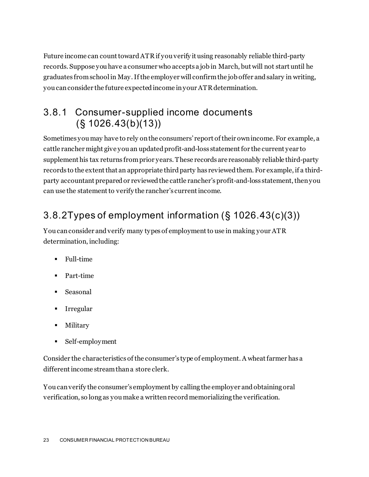Future income can count toward ATR if you verify it using reasonably reliable third-party records. Suppose you have a consumer who accepts a job in March, but will not start until he graduates from school in May. If the employer will confirm the job offer and salary in writing, you can consider the future expected income in your ATR determination.

#### 3.8.1 Consumer-supplied income documents (§ 1026.43(b)(13))

Sometimes you may have to rely on the consumers' report of their own income. For example, a cattle rancher might give you an updated profit-and-loss statement for the current year to supplement his tax returns from prior years. These records are reasonably reliable third-party records to the extent that an appropriate third party has reviewed them. For example, if a thirdparty accountant prepared or reviewed the cattle rancher's profit-and-loss statement, then you can use the statement to verify the rancher's current income.

### 3.8.2Types of employment information (§ 1026.43(c)(3))

You can consider and verify many types of employment to use in making your ATR determination, including:

- Full-time
- **Part-time**
- **Seasonal**
- **Irregular**
- **-** Military
- Self-employment

Consider the characteristics of the consumer's type of employment. A wheat farmer has a different income stream than a store clerk.

You can verify the consumer's employment by calling the employer and obtaining oral verification, so long as you make a written record memorializing the verification.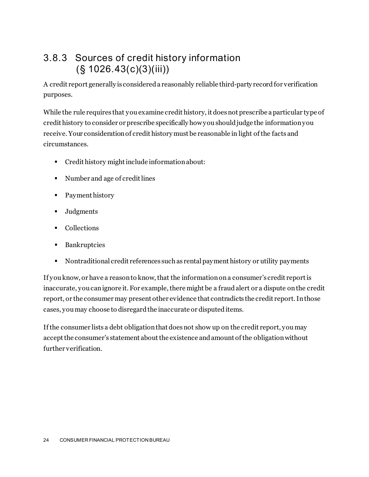#### <span id="page-24-0"></span>3.8.3 Sources of credit history information  $(S 1026.43(c)(3)(iii))$

A credit report generally is considered a reasonably reliable third-party record for verification purposes.

While the rule requires that you examine credit history, it does not prescribe a particular type of credit history to consider or prescribe specifically how you should judge the information you receive. Your consideration of credit history must be reasonable in light of the facts and circumstances.

- Credit history might include information about:
- Number and age of credit lines
- Payment history
- Judgments
- Collections
- **Bankruptcies**
- Nontraditional credit references such as rental payment history or utility payments

If you know, or have a reason to know, that the information on a consumer's credit report is inaccurate, you can ignore it. For example, there might be a fraud alert or a dispute on the credit report, or the consumer may present other evidence that contradicts the credit report. In those cases, you may choose to disregard the inaccurate or disputed items.

If the consumer lists a debt obligation that does not show up on the credit report, you may accept the consumer's statement about the existence and amount of the obligation without further verification.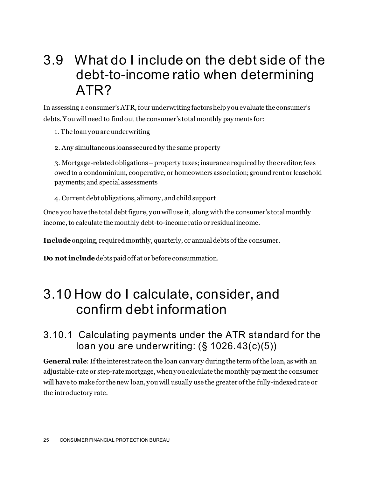### <span id="page-25-0"></span>3.9 What do I include on the debt side of the debt-to-income ratio when determining ATR?

In assessing a consumer's ATR, four underwriting factors help you evaluate the consumer's debts. You will need to find out the consumer's total monthly payments for:

1. The loan you are underwriting

2. Any simultaneous loans secured by the same property

3. Mortgage-related obligations – property taxes; insurance required by the creditor; fees owed to a condominium, cooperative, or homeowners association; ground rent or leasehold payments; and special assessments

4. Current debt obligations, alimony, and child support

Once you have the total debt figure, you will use it, along with the consumer's total monthly income, to calculate the monthly debt-to-income ratio or residual income.

**Include**ongoing, required monthly, quarterly, or annual debts of the consumer.

**Do not include**debts paid off at or before consummation.

### 3.10 How do I calculate, consider, and confirm debt information

#### <span id="page-25-1"></span>3.10.1 Calculating payments under the ATR standard for the loan you are underwriting: (§ 1026.43(c)(5))

**General rule**: If the interest rate on the loan can vary during the term of the loan, as with an adjustable-rate or step-rate mortgage, when you calculate the monthly payment the consumer will have to make for the new loan, you will usually use the greater of the fully-indexed rate or the introductory rate.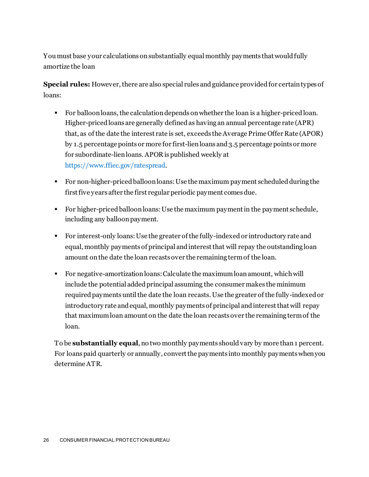You must base your calculations onsubstantially equal monthly payments that would fully amortize the loan

**Special rules:** However, there are also special rules and guidance provided for certain types of loans:

- For balloon loans, the calculation depends on whether the loan is a higher-priced loan. Higher-priced loans are generally defined as having an annual percentage rate (APR) that, as of the date the interest rate is set, exceeds the Average Prime Offer Rate (APOR) by 1.5 percentage points or more for first-lien loans and 3.5 percentage points or more for subordinate-lien loans. APOR is published weekly at <https://www.ffiec.gov/ratespread>.
- For non-higher-pricedballoon loans: Use the maximum payment scheduled during the first five years after the first regular periodic payment comes due.
- For higher-priced balloon loans: Use the maximum payment in the payment schedule, including any balloon payment.
- For interest-only loans: Use the greater of the fully-indexed or introductory rate and equal, monthly payments of principal and interest that will repay the outstanding loan amount on the date the loan recasts over the remaining term of the loan.
- For negative-amortization loans: Calculate the maximum loan amount, which will include the potential added principal assuming the consumer makes the minimum required payments until the date the loan recasts. Use the greater of the fully-indexed or introductory rate and equal, monthly payments of principal and interest that will repay that maximum loan amount on the date the loan recasts over the remaining term of the loan.

To be **substantially equal**, no two monthly payments should vary by more than 1 percent. For loans paid quarterly or annually, convert the payments into monthly payments when you determine ATR.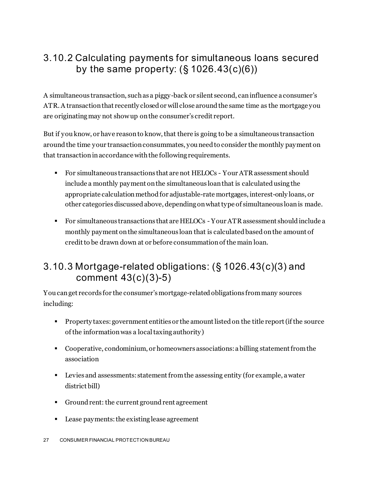#### 3.10.2 Calculating payments for simultaneous loans secured by the same property:  $(\S 1026.43(c)(6))$

A simultaneous transaction, such as a piggy-back or silent second, can influence a consumer's ATR. A transaction that recently closed or will close around the same time as the mortgage you are originating may not show up on the consumer's credit report.

But if you know, or have reason to know, that there is going to be a simultaneous transaction around the time your transaction consummates, you need to consider the monthly payment on that transaction in accordance with the following requirements.

- For simultaneous transactions that are not HELOCs Your ATR assessment should include a monthly payment on the simultaneous loan that is calculated using the appropriate calculation method for adjustable-rate mortgages, interest-only loans, or other categories discussed above, depending on what type of simultaneous loan is made.
- For simultaneous transactions that are HELOCs Your ATR assessment should include a monthly payment on the simultaneous loan that is calculated based on the amount of credit to be drawn down at or before consummation of the main loan.

#### 3.10.3 Mortgage-related obligations: (§ 1026.43(c)(3) and comment 43(c)(3)-5)

You can get records for the consumer's mortgage-related obligations from many sources including:

- Property taxes: government entities or the amount listed on the title report (if the source of the information was a local taxing authority)
- Cooperative, condominium, or homeowners associations: a billing statement from the association
- Levies and assessments: statement from the assessing entity (for example, awater district bill)
- Ground rent: the current ground rent agreement
- Lease payments: the existing lease agreement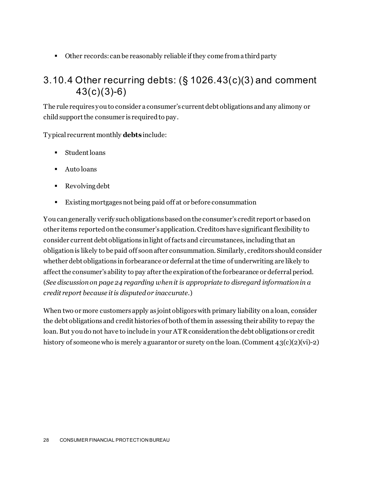Other records: can be reasonably reliable if they come from a third party

#### 3.10.4 Other recurring debts: (§ 1026.43(c)(3) and comment 43(c)(3)-6)

The rule requires you to consider a consumer's current debt obligations and any alimony or child support the consumer is required to pay.

Typical recurrent monthly **debts** include:

- Student loans
- Auto loans
- Revolving debt
- Existing mortgages not being paid off at or before consummation

You can generally verify such obligations based on the consumer's credit report or based on other items reported on the consumer's application. Creditors have significant flexibility to consider current debt obligations in light of facts and circumstances, including that an obligation is likely to be paid off soon after consummation. Similarly, creditors should consider whether debt obligations in forbearance or deferral at the time of underwriting are likely to affect the consumer's ability to pay after the expiration of the forbearance or deferral period. (*See discussion on pag[e 24](#page-24-0) regarding when it is appropriate to disregard information in a credit report because it is disputed or inaccurate*.)

When two or more customers apply as joint obligors with primary liability on a loan, consider the debt obligations and credit histories of both of them in assessing their ability to repay the loan. But you do not have to include in your ATR consideration the debt obligations or credit history of someone who is merely a guarantor or surety on the loan. (Comment  $43(c)(2)(vi)-2$ )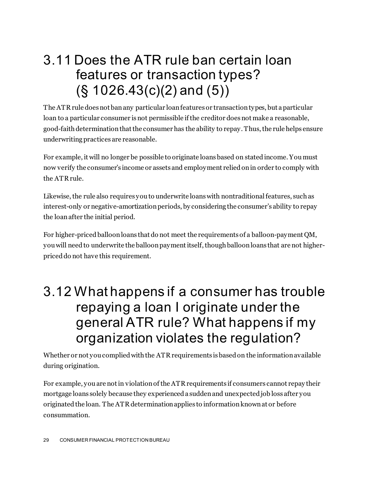## 3.11 Does the ATR rule ban certain loan features or transaction types?  $(S \ 1026.43(c)(2)$  and  $(5))$

The ATR rule does not ban any particular loan features or transaction types, but a particular loan to a particular consumer is not permissible if the creditor doesnot make a reasonable, good-faith determination that the consumer has the ability to repay. Thus, the rule helps ensure underwriting practices are reasonable.

For example, it will no longer be possible to originate loans based on stated income. You must now verify the consumer's income or assets and employment relied on in order to comply with the ATR rule.

Likewise, the rule also requires you to underwrite loans with nontraditional features, such as interest-only or negative-amortization periods, by considering the consumer's ability to repay the loan after the initial period.

For higher-priced balloon loans that do not meet the requirements of a balloon-payment QM, you will need to underwrite the balloon payment itself, though balloon loans that are not higherpriced do not have this requirement.

## 3.12 What happens if a consumer has trouble repaying a loan I originate under the general ATR rule? What happens if my organization violates the regulation?

Whether or not you complied with the ATR requirements isbased on the information available during origination.

For example, you are not in violation of the ATR requirements if consumers cannot repay their mortgage loans solely because they experienced a sudden and unexpected job loss after you originated the loan. The ATR determination applies to information known at or before consummation.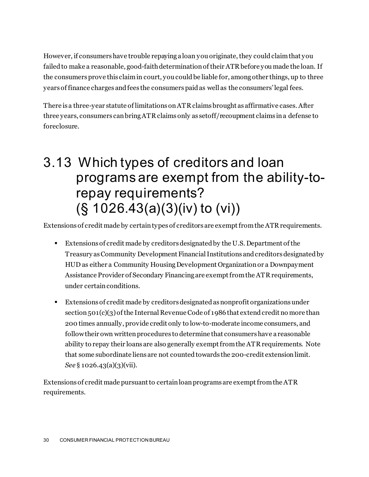However, if consumers have trouble repaying a loan you originate, they could claim that you failed to make a reasonable, good-faith determination of their ATR before you made the loan. If the consumers prove this claim in court, you could be liable for, among other things, up to three years of finance charges and fees the consumers paid as well as the consumers' legal fees.

There is a three-year statute of limitations on ATR claims brought as affirmative cases. After three years, consumers can bring ATR claims only as setoff/recoupment claims in a defense to foreclosure.

## <span id="page-30-0"></span>3.13 Which types of creditors and loan programs are exempt from the ability-torepay requirements? (§ 1026.43(a)(3)(iv) to (vi))

Extensions of credit made by certain types of creditors are exempt from the ATR requirements.

- Extensions of credit made by creditors designated by the U.S. Department of the Treasury as Community Development Financial Institutions and creditors designated by HUD as either a Community Housing Development Organization or a Downpayment Assistance Provider of Secondary Financing are exempt from the ATR requirements, under certain conditions.
- Extensions of credit made by creditors designated as nonprofit organizations under section 501(c)(3) of the Internal Revenue Code of 1986 that extend credit no more than 200 times annually, provide credit only to low-to-moderate income consumers, and follow their own written procedures to determine that consumers have a reasonable ability to repay their loans are also generally exempt from the ATR requirements. Note that some subordinate liens are not counted towards the 200-credit extension limit. *See* § 1026.43(a)(3)(vii).

Extensions of credit made pursuant to certain loan programs are exempt from the ATR requirements.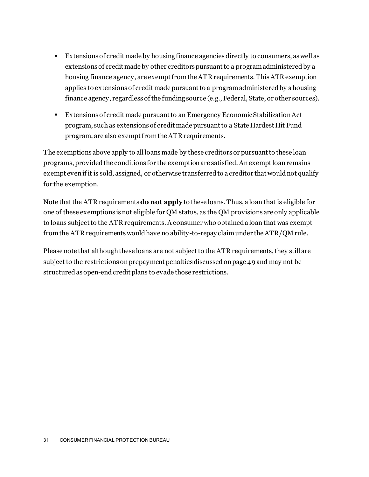- Extensions of credit made by housing finance agencies directly to consumers, as well as extensions of credit made by other creditors pursuant to a program administered by a housing finance agency, are exempt from the ATR requirements. This ATR exemption applies to extensions of credit made pursuant to a program administered by a housing finance agency, regardless of the funding source (e.g., Federal, State, or other sources).
- Extensions of credit made pursuant to an Emergency Economic Stabilization Act program, such as extensions of credit made pursuant to a State Hardest Hit Fund program, are also exempt from the ATR requirements.

The exemptions above apply to all loans made by these creditors or pursuant to these loan programs, provided the conditions for the exemption are satisfied. An exempt loan remains exempt even if it is sold, assigned, or otherwise transferred to a creditor that would not qualify for the exemption.

Note that the ATR requirements **do not apply** to these loans. Thus, a loan that is eligible for one of these exemptions is not eligible for QM status, as the QM provisions are only applicable to loans subject to the ATR requirements. A consumer who obtained a loan that was exempt from the ATR requirements would have no ability-to-repay claim under the ATR/QM rule.

Please note that although these loans are not subject to the ATR requirements, they still are subject to the restrictions on prepayment penalties discussed on pag[e 49](#page-49-0) and may not be structured as open-end credit plans to evade those restrictions.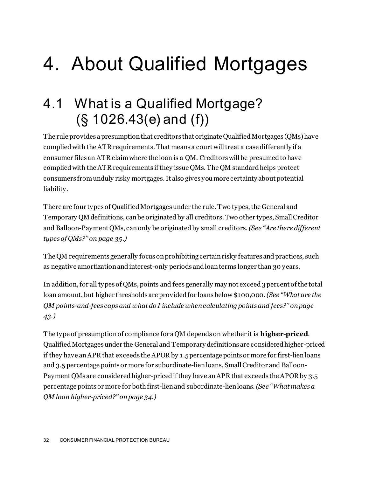# 4. About Qualified Mortgages

# 4.1 What is a Qualified Mortgage? (§ 1026.43(e) and (f))

The rule provides a presumption that creditors that originate Qualified Mortgages (QMs) have complied with the ATR requirements. That means a court will treat a case differently if a consumer files an ATR claim where the loan is a QM. Creditors will be presumed to have complied with the ATR requirements if they issue QMs. The QM standard helps protect consumers from unduly risky mortgages. It also gives you more certainty about potential liability.

There are four types of Qualified Mortgages under the rule. Two types, the General and Temporary QM definitions, can be originated by all creditors. Two other types, Small Creditor and Balloon-Payment QMs, can only be originated by small creditors. *(See "Are there different types of QMs?" on page 35.)*

The QM requirements generally focus on prohibiting certain risky features and practices, such as negative amortization and interest-only periods and loan terms longer than 30 years.

In addition, for all types of QMs, points and fees generally may not exceed 3 percent of the total loan amount, but higher thresholds are provided for loans below \$100,000. *(See "What are the QM points-and-fees caps and what do I include when calculating points and fees?" on page 43.)*

The type of presumption of compliance for a QM depends on whether it is **higher-priced**. Qualified Mortgages under the General and Temporary definitions are considered higher-priced if they have an APR that exceeds the APOR by 1.5 percentage points or more for first-lien loans and 3.5 percentage points or more for subordinate-lien loans. Small Creditor and Balloon-Payment QMs are considered higher-priced if they have an APR that exceeds the APOR by 3.5 percentage points or more for both first-lien and subordinate-lien loans.*(See "What makes a QM loan higher-priced?" on page 34.)*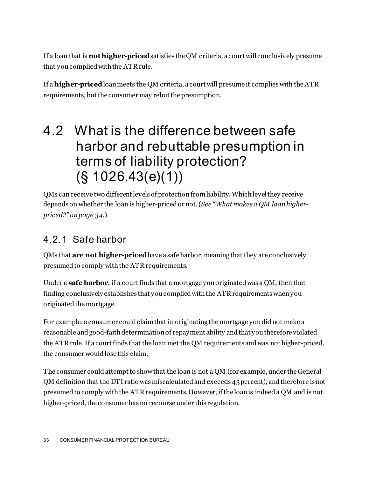If a loan that is **not higher-priced**satisfies the QM criteria, a court will conclusively presume that you complied with the ATR rule.

If a **higher-priced**loan meets the QM criteria, a court will presume it complies with the ATR requirements, but the consumer may rebut the presumption.

## 4.2 What is the difference between safe harbor and rebuttable presumption in terms of liability protection? (§ 1026.43(e)(1))

QMs can receive two different levels of protection from liability. Which level they receive depends on whether the loan is higher-priced or not. (*See "What makes a QM loan higherpriced?" on page 34*.)

#### 4.2.1 Safe harbor

QMs that **are not higher-priced**have a safe harbor, meaning that they are conclusively presumed to comply with the ATR requirements.

Under a **safe harbor**, if a court finds that a mortgage you originated was a QM, then that finding conclusively establishes that you complied with the ATR requirements when you originated the mortgage.

For example, a consumer could claim that in originating the mortgage you did not make a reasonable and good-faith determination of repayment ability and that you therefore violated the ATR rule. If a court finds that the loan met the QM requirements and was not higher-priced, the consumer would lose this claim.

The consumer could attempt to show that the loan is not a QM (for example, under the General QM definition that the DTI ratio was miscalculated and exceeds 43 percent), and therefore is not presumed to comply with the ATR requirements. However, if the loan is indeed a QM and is not higher-priced, the consumer has no recourse under this regulation.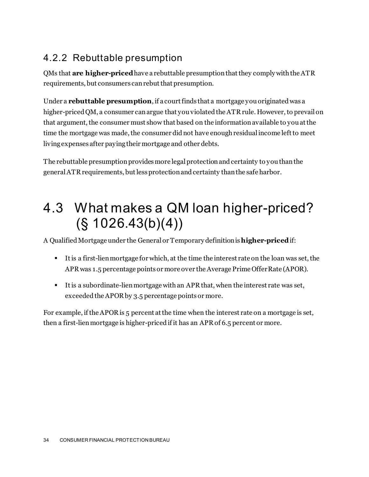#### 4.2.2 Rebuttable presumption

QMs that **are higher-priced**have a rebuttable presumption that they comply with the ATR requirements, but consumers can rebut that presumption.

Under a **rebuttable presumption**, if a court finds that a mortgage you originated was a higher-priced QM, a consumer can argue that you violated the ATR rule. However, to prevail on that argument, the consumer must show that based on the information available to you at the time the mortgage was made, the consumer did not have enough residual income left to meet living expenses after paying their mortgage and other debts.

The rebuttable presumption provides more legal protection and certainty to you than the general ATR requirements, but less protection and certainty than the safe harbor.

# <span id="page-34-0"></span>4.3 What makes a QM loan higher-priced?  $(S 1026.43(b)(4))$

A Qualified Mortgage under the General or Temporary definition is **higher-priced**if:

- It is a first-lien mortgage for which, at the time the interest rate on the loan was set, the APR was 1.5 percentage points or more over the Average Prime Offer Rate (APOR).
- It is a subordinate-lien mortgage with an APR that, when the interest rate was set, exceeded the APOR by 3.5 percentage points or more.

For example, if the APOR is 5 percent at the time when the interest rate on a mortgage is set, then a first-lien mortgage is higher-priced if it has an APR of 6.5 percent or more.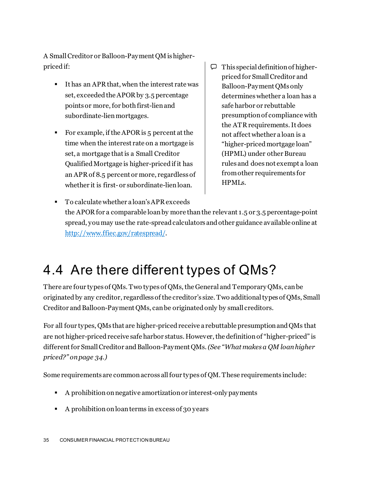A Small Creditor or Balloon-Payment QM is higherpriced if:

- It has an APR that, when the interest rate was set, exceeded the APOR by 3.5 percentage points or more, for both first-lien and subordinate-lien mortgages.
- For example, if the APOR is 5 percent at the time when the interest rate on a mortgage is set, a mortgage that is a Small Creditor Qualified Mortgage is higher-priced if it has an APR of 8.5 percent or more, regardless of whether it is first-or subordinate-lien loan.
- $\Box$  This special definition of higherpriced for Small Creditor and Balloon-Payment QMs only determines whether a loan has a safe harbor or rebuttable presumption of compliance with the ATR requirements. It does not affect whether a loan is a "higher-priced mortgage loan" (HPML) under other Bureau rules and does not exempt a loan from other requirements for HPMLs.
- To calculate whether a loan's APR exceeds the APOR for a comparable loan by more than the relevant 1.5 or 3.5 percentage-point spread, you may use the rate-spread calculators and other guidance available online at <http://www.ffiec.gov/ratespread/>.

# 4.4 Are there different types of QMs?

There are four types of QMs. Two types of QMs, the General and Temporary QMs, can be originated by any creditor, regardless of the creditor's size. Two additional types of QMs, Small Creditor and Balloon-Payment QMs, can be originated only by small creditors.

For all four types, QMs that are higher-priced receive a rebuttable presumption and QMs that are not higher-priced receive safe harbor status. However, the definition of "higher-priced" is different for Small Creditor and Balloon-Payment QMs. *(See "What makes a QM loan higher priced?" on page 34.)*

Some requirements are common across all four types of QM. These requirements include:

- A prohibition on negative amortization or interest-only payments
- A prohibition on loan terms in excess of 30 years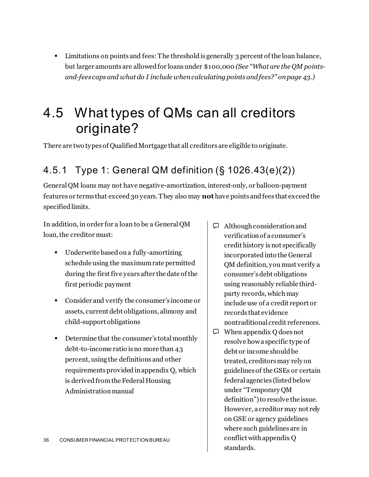**EXECUTE:** Limitations on points and fees: The threshold is generally 3 percent of the loan balance, but larger amounts are allowed for loans under \$100,000 *(See "What are the QM pointsand-fees caps and what do I include when calculating points and fees?" on page 43.)*

## 4.5 What types of QMs can all creditors originate?

There are two types of Qualified Mortgage that all creditors are eligible to originate.

#### 4.5.1 Type 1: General QM definition (§ 1026.43(e)(2))

General QM loans may not have negative-amortization, interest-only, or balloon-payment features or terms that exceed 30 years. They also may **not** have points and fees that exceed the specified limits.

In addition, in order for a loan to be a General QM loan, the creditor must:

- Underwrite based on a fully-amortizing schedule using the maximum rate permitted during the first five years after the date of the first periodic payment
- Consider and verify the consumer's income or assets, current debt obligations, alimony and child-support obligations
- Determine that the consumer's total monthly debt-to-income ratio is no more than 43 percent, using the definitions and other requirements provided in appendix Q, which is derived from the Federal Housing Administration manual
- $\Box$  Although consideration and verification of a consumer's credit history is not specifically incorporated into the General QM definition, you must verify a consumer's debt obligations using reasonably reliable thirdparty records, which may include use of a credit report or records that evidence nontraditional credit references.
- $\Box$  When appendix O does not resolve how a specific type of debt or income should be treated, creditors may rely on guidelines of the GSEs or certain federal agencies (listed below under "Temporary QM definition") to resolve the issue. However, a creditor may not rely on GSE or agency guidelines where such guidelines are in conflict with appendix Q standards.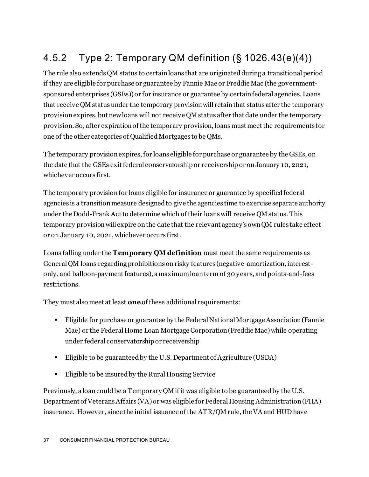### <span id="page-37-0"></span>4.5.2 Type 2: Temporary QM definition (§ 1026.43(e)(4))

The rule also extends QM status to certain loans that are originated during a transitional period if they are eligible for purchase or guarantee by Fannie Mae or Freddie Mac (the governmentsponsored enterprises (GSEs)) or for insurance or guarantee by certain federal agencies. Loans that receive QM status under the temporary provision will retain that status after the temporary provision expires, but new loans will not receive QM status after that date under the temporary provision. So, after expiration of the temporary provision, loans must meet the requirements for one of the other categories of Qualified Mortgages to be QMs.

The temporary provision expires, for loans eligible for purchase or guarantee by the GSEs, on the date that the GSEs exit federal conservatorship or receivership or on January 10, 2021, whichever occurs first.

The temporary provision for loans eligible for insurance or guarantee by specified federal agencies is a transition measure designed to give the agencies time to exercise separate authority under the Dodd-Frank Act to determine which of their loans will receive QM status. This temporary provision will expire on the date that the relevant agency's own QM rules take effect or on January 10, 2021, whichever occurs first.

Loans falling under the **Temporary QM definition** must meet the same requirements as General QM loans regarding prohibitions on risky features (negative-amortization, interestonly, and balloon-payment features), a maximum loan term of 30 years, and points-and-fees restrictions.

They must also meet at least **one**of these additional requirements:

- Eligible for purchase or guarantee by the Federal National Mortgage Association (Fannie Mae) or the Federal Home Loan Mortgage Corporation (Freddie Mac) while operating under federal conservatorship or receivership
- Eligible to be guaranteed by the U.S. Department of Agriculture (USDA)
- Eligible to be insured by the Rural Housing Service

Previously, a loan could be a Temporary QM if it was eligible to be guaranteed by the U.S. Department of Veterans Affairs (VA)or was eligible for Federal Housing Administration (FHA) insurance. However, since the initial issuance of the ATR/QM rule, the VA and HUD have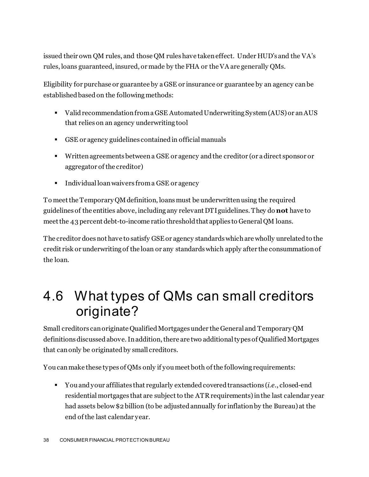issued their own QM rules, and those QM rules have taken effect. Under HUD's and the VA's rules, loans guaranteed, insured, or made by the FHA or the VA are generally QMs.

Eligibility for purchase or guarantee by a GSE or insurance or guarantee by an agency can be established based on the following methods:

- Valid recommendation from a GSE Automated Underwriting System (AUS) or an AUS that relies on an agency underwriting tool
- GSE or agency guidelines contained in official manuals
- Written agreements between a GSE or agency and the creditor (or a direct sponsor or aggregator of the creditor)
- Individual loan waivers from a GSE or agency

To meet the Temporary QM definition, loans must be underwritten using the required guidelines of the entities above, including any relevant DTI guidelines. They do **not** have to meet the 43 percent debt-to-income ratio threshold that applies to General QM loans.

The creditor does not have to satisfy GSE or agency standards which are wholly unrelated to the credit risk or underwriting of the loan or any standards which apply after the consummation of the loan.

### <span id="page-38-0"></span>4.6 What types of QMs can small creditors originate?

Small creditors can originate Qualified Mortgages under the General and Temporary QM definitions discussed above. In addition, there are two additional types of Qualified Mortgages that can only be originated by small creditors.

You can make these types of QMs only if you meet both of the following requirements:

 You and your affiliates that regularly extended covered transactions (*i.e.*, closed-end residential mortgages that are subject to the ATR requirements) in the last calendar year had assets below \$2 billion (to be adjusted annually for inflation by the Bureau) at the end of the last calendar year.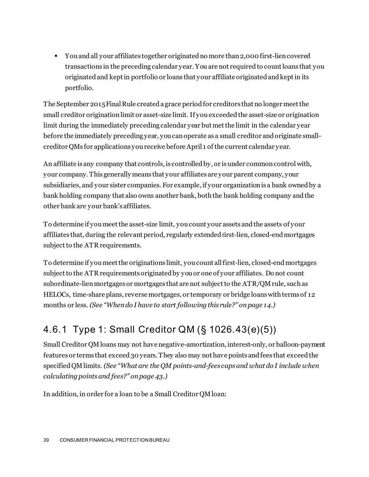You and all your affiliates together originated no more than 2,000 first-lien covered transactions in the preceding calendar year. You are not required to count loans that you originated and kept in portfolio or loans that your affiliate originated and kept in its portfolio.

The September 2015 Final Rule created a grace period for creditors that no longer meet the small creditor origination limit or asset-size limit. If you exceededthe asset-size or origination limit during the immediately preceding calendar year but met the limit in the calendar year before the immediately preceding year, you can operate as a small creditor and originate smallcreditor QMs for applications you receive before April 1 of the current calendar year.

An affiliate is any company that controls, is controlled by, or is under common control with, your company. This generally means that your affiliates are your parent company, your subsidiaries, and your sister companies. For example, if your organization is a bank owned by a bank holding company that also owns another bank, both the bank holding company and the other bank are your bank's affiliates.

To determine if youmeet the asset-size limit, you count your assets and the assets of your affiliates that, during the relevant period, regularly extended first-lien, closed-end mortgages subject to the ATR requirements.

To determine if you meet the originations limit, you count all first-lien, closed-end mortgages subject to the ATR requirements originated by you or one of your affiliates. Do not count subordinate-lien mortgages or mortgages that are not subject to the ATR/QM rule, such as HELOCs, time-share plans, reverse mortgages, or temporary or bridge loans with terms of 12 months or less. *(See "When do I have to start following this rule?" on page [14.](#page-14-0))*

### 4.6.1 Type 1: Small Creditor QM (§ 1026.43(e)(5))

Small Creditor QM loans may not have negative-amortization, interest-only, or balloon-payment features or terms that exceed 30 years. They also may not have points and fees that exceed the specified QM limits. *(See "What are the QM points-and-fees caps and what do I include when calculating points and fees?" on pag[e 43.](#page-43-0))*

In addition, in order for a loan to be a Small Creditor QM loan: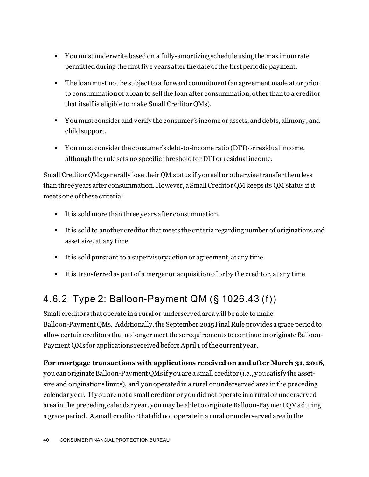- You must underwrite based on a fully-amortizing schedule using the maximum rate permitted during the first five years after the date of the first periodic payment.
- The loan must not be subject to a forward commitment (an agreement made at or prior to consummation of a loan to sell the loan after consummation, other than to a creditor that itself is eligible to make Small Creditor QMs).
- You must consider and verify the consumer's income or assets, and debts, alimony, and child support.
- You must consider the consumer's debt-to-income ratio (DTI) or residual income, although the rule sets no specific threshold for DTI or residual income.

Small Creditor QMs generally lose their QM status if you sell or otherwise transfer them less than three years after consummation. However, a Small Creditor QM keeps its QM status if it meets one of these criteria:

- It is sold more than three years after consummation.
- It is sold to another creditor that meets the criteria regarding number of originations and asset size, at any time.
- It is sold pursuant to a supervisory action or agreement, at any time.
- It is transferred as part of a merger or acquisition of or by the creditor, at any time.

#### 4.6.2 Type 2: Balloon-Payment QM (§ 1026.43 (f))

Small creditors that operate in a rural or underserved area will be able to make Balloon-Payment QMs. Additionally, the September 2015 Final Rule provides a grace period to allow certain creditors that no longer meet these requirements to continue to originate Balloon-Payment QMs for applications received before April 1 of the current year.

#### **For mortgage transactions with applications received on and after March 31, 2016**,

you can originate Balloon-Payment QMs if you are a small creditor (*i.e*., you satisfy the assetsize and originations limits), and you operated in a rural or underserved area in the preceding calendar year. If you are not a small creditor or you did not operate in a rural or underserved area in the preceding calendar year, you may be able to originate Balloon-Payment QMs during a grace period. A small creditor that did not operate in a rural or underserved area in the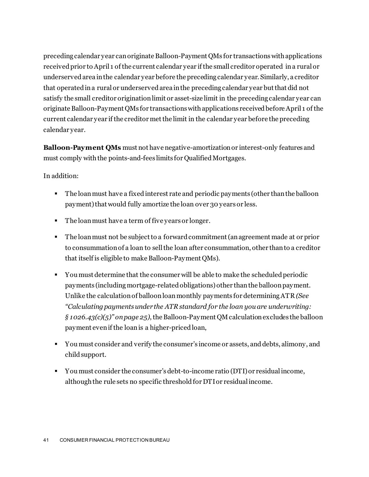preceding calendar year can originate Balloon-Payment QMs for transactions with applications received prior to April 1 of the current calendar year if the small creditor operated in a rural or underserved area in the calendar year before the preceding calendar year. Similarly, a creditor that operated in a rural or underserved area in the preceding calendar year but that did not satisfy the small creditor origination limit or asset-size limit in the preceding calendar year can originate Balloon-Payment QMs for transactions with applications received before April 1 of the current calendar year if the creditor met the limit in the calendar year before the preceding calendar year.

**Balloon-Payment QMs** must not have negative-amortization or interest-only features and must comply with the points-and-fees limits for Qualified Mortgages.

In addition:

- The loan must have a fixed interest rate and periodic payments (other than the balloon payment) that would fully amortize the loan over 30 years or less.
- The loan must have a term of five years or longer.
- The loan must not be subject to a forward commitment (an agreement made at or prior to consummation of a loan to sell the loan after consummation, other than to a creditor that itself is eligible to make Balloon-Payment QMs).
- You must determine that the consumer will be able to make the scheduled periodic payments (including mortgage-related obligations) other than the balloon payment. Unlike the calculation of balloon loan monthly payments for determining ATR *(See "Calculating payments under the ATR standard for the loan you are underwriting: § 1026.43(c)(5)" on pag[e 25\)](#page-25-1)*, the Balloon-Payment QM calculation excludes the balloon payment even if the loan is a higher-priced loan,
- Youmust consider and verify the consumer's income or assets, and debts, alimony, and child support.
- You must consider the consumer's debt-to-income ratio (DTI) or residual income, although the rule sets no specific threshold for DTI or residual income.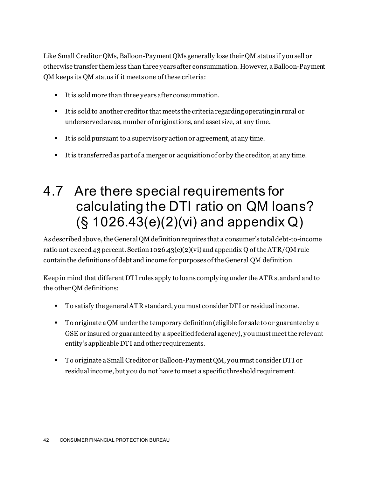Like Small Creditor QMs, Balloon-Payment QMs generally lose their QM status if you sell or otherwise transfer them less than three years after consummation. However, a Balloon-Payment QM keeps its QM status if it meets one of these criteria:

- It is sold more than three years after consummation.
- It is sold to another creditor that meets the criteria regarding operating in rural or underserved areas, number of originations, and asset size, at any time.
- It is sold pursuant to a supervisory action or agreement, at any time.
- It is transferred as part of a merger or acquisition of or by the creditor, at any time.

# 4.7 Are there special requirements for calculating the DTI ratio on QM loans? (§ 1026.43(e)(2)(vi) and appendix Q)

As described above, the General QM definition requires that a consumer's total debt-to-income ratio not exceed 43 percent. Section 1026.43(e)(2)(vi) and appendix Q of the ATR/QM rule contain the definitions of debt and income for purposes of the General QM definition.

Keep in mind that different DTI rules apply to loans complying under the ATR standard and to the other QM definitions:

- To satisfy the general ATR standard, you must consider DTI or residual income.
- To originate a QM under the temporary definition (eligible for sale to or guarantee by a GSE or insured or guaranteed by a specified federal agency), you must meet the relevant entity's applicable DTI and other requirements.
- To originate a Small Creditor or Balloon-Payment QM, you must consider DTI or residual income, but you do not have to meet a specific threshold requirement.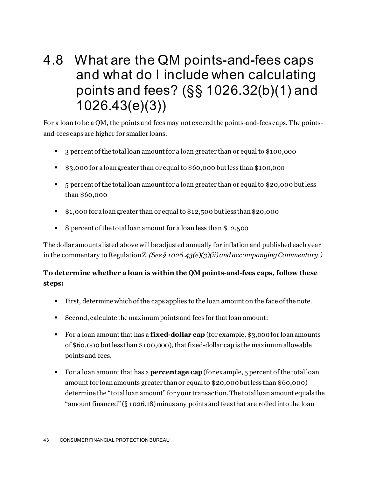## <span id="page-43-0"></span>4.8 What are the QM points-and-fees caps and what do I include when calculating points and fees? (§§ 1026.32(b)(1) and 1026.43(e)(3))

For a loan to be a QM, the points and fees may not exceed the points-and-fees caps. The pointsand-fees caps are higher for smaller loans.

- <sup>3</sup> 3 percent of the total loan amount for a loan greater than or equal to \$100,000
- \$3,000 for a loan greater than or equal to \$60,000 but less than \$100,000
- 5 percent of the total loan amount for a loan greater than or equal to \$20,000 but less than \$60,000
- \$1,000 for a loan greater than or equal to \$12,500 but less than \$20,000
- 8 percent of the total loan amount for a loan less than \$12,500

The dollar amounts listed above will be adjusted annually for inflation and published each year in the commentary to Regulation Z. *(See § 1026.43(e)(3)(ii) and accompanying Commentary.)*

#### **To determine whether a loan is within the QM points-and-fees caps, follow these steps:**

- First, determine which of the caps applies to the loan amount on the face of the note.
- Second, calculate the maximum points and fees for that loan amount:
- For a loan amount that has a **fixed-dollar cap** (for example, \$3,000 for loan amounts of \$60,000 but less than \$100,000), that fixed-dollar cap is the maximum allowable points and fees.
- For a loan amount that has a **percentage cap**(for example, 5 percent of the total loan amount for loan amounts greater than or equal to \$20,000 but less than \$60,000) determine the "total loan amount" for your transaction. The total loan amount equals the "amount financed" (§ 1026.18) minus any points and fees that are rolled into the loan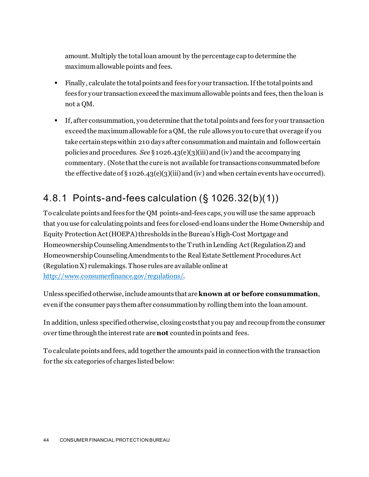amount. Multiply the total loan amount by the percentage cap to determine the maximum allowable points and fees.

- Finally, calculate the total points and fees for your transaction*.* If the total points and fees for your transaction exceed the maximum allowable points and fees, then the loan is not a QM.
- If, after consummation, you determine that the total points and fees for your transaction exceed the maximum allowable for a QM, the rule allows you to cure that overage if you take certain steps within 210 days after consummation and maintain and follow certain policies and procedures. *See* § 1026.43(e)(3)(iii) and (iv) and the accompanying commentary. (Note that the cure is not available for transactions consummated before the effective date of  $\S 1026.43(e)(3)(iii)$  and (iv) and when certain events have occurred).

#### 4.8.1 Points-and-fees calculation (§ 1026.32(b)(1))

To calculate points and fees for the QM points-and-fees caps, you will use the same approach that you use for calculating points and fees for closed-end loans under the Home Ownership and Equity Protection Act (HOEPA) thresholds in the Bureau's High-Cost Mortgage and Homeownership Counseling Amendments to the Truth in Lending Act (Regulation Z) and Homeownership Counseling Amendments to the Real Estate Settlement Procedures Act (Regulation X) rulemakings. Those rules are available online at <http://www.consumerfinance.gov/regulations/>.

Unless specified otherwise, include amounts that are **known at or before consummation**, even if the consumer pays them after consummation by rolling them into the loan amount.

In addition, unless specified otherwise, closing costs that you pay and recoup from the consumer over time through the interest rate are **not** counted in points and fees.

To calculate points and fees, add together the amounts paid in connection with the transaction for the six categories of charges listed below: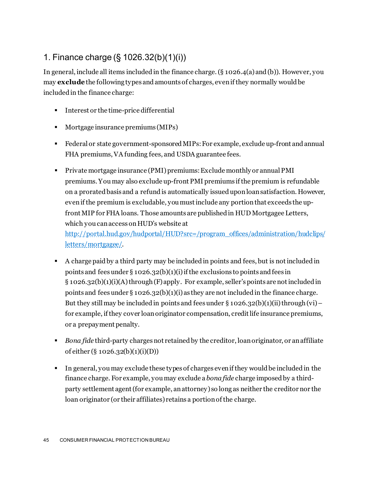#### 1. Finance charge (§ 1026.32(b)(1)(i))

In general, include all items included in the finance charge. (§ 1026.4(a) and (b)). However, you may **exclude**the following types and amounts of charges, even if they normally would be included in the finance charge:

- Interest or the time-price differential
- Mortgage insurance premiums (MIPs)
- Federal or state government-sponsored MIPs: For example, exclude up-front and annual FHA premiums, VA funding fees, and USDA guarantee fees.
- Private mortgage insurance (PMI) premiums: Exclude monthly or annual PMI premiums. You may also exclude up-front PMI premiums if the premium is refundable on a prorated basis and a refund is automatically issued upon loan satisfaction. However, even if the premium is excludable, you must include any portion that exceeds the upfront MIP for FHA loans. Those amounts are published in HUD Mortgagee Letters, which you can access on HUD's website at [http://portal.hud.gov/hudportal/HUD?src=/program\\_offices/administration/hudclips/](http://portal.hud.gov/hudportal/HUD?src=/program_offices/administration/hudclips/letters/mortgagee/) [letters/mortgagee/.](http://portal.hud.gov/hudportal/HUD?src=/program_offices/administration/hudclips/letters/mortgagee/)
- A charge paid by a third party may be included in points and fees, but is not included in points and fees under § 1026.32(b)(1)(i) if the exclusions to points and fees in § 1026.32(b)(1)(i)(A) through (F) apply. For example, seller's points are not included in points and fees under  $\S 1026.32(b)(1)(i)$  as they are not included in the finance charge. But they still may be included in points and fees under  $\S 1026.32(b)(1)(ii)$  through  $(vi)$  – for example, if they cover loan originator compensation, credit life insurance premiums, or a prepayment penalty.
- *Bona fide* third-party charges not retained by the creditor, loan originator, or an affiliate of either (§ 1026.32(b)(1)(i)(D))
- In general, you may exclude these types of charges even if they would be included in the finance charge. For example, you may exclude a *bona fide* charge imposed by a thirdparty settlement agent (for example, an attorney) so long as neither the creditor nor the loan originator (or their affiliates) retains a portion of the charge.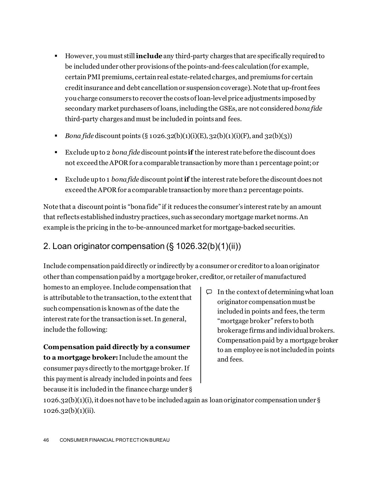- However, you must still **include** any third-party charges that are specifically required to be included under other provisions of the points-and-fees calculation (for example, certain PMI premiums, certain real estate-related charges, and premiums for certain credit insurance and debt cancellation or suspension coverage). Note that up-front fees you charge consumers to recover the costs of loan-level price adjustments imposed by secondary market purchasers of loans, including the GSEs, are not considered *bona fide* third-party charges and must be included in points and fees.
- **Bona fide discount points (§ 1026.32(b)(1)(i)(E), 32(b)(1)(i)(F), and 32(b)(3))**
- Exclude up to 2 *bona fide* discount points **if** the interest rate before the discount does not exceed the APOR for a comparable transaction by more than 1 percentage point; or
- Exclude up to 1 *bona fide* discount point **if** the interest rate before the discount does not exceed the APOR for a comparable transaction by more than 2 percentage points.

Note that a discount point is "bona fide" if it reduces the consumer's interest rate by an amount that reflects established industry practices, such as secondary mortgage market norms. An example is the pricing in the to-be-announced market for mortgage-backed securities.

#### 2. Loan originator compensation (§ 1026.32(b)(1)(ii))

Include compensation paid directly or indirectly by a consumer or creditor to a loan originator other than compensation paid by a mortgage broker, creditor, or retailer of manufactured

homes to an employee. Include compensation that is attributable to the transaction, to the extent that such compensation is known as of the date the interest rate for the transaction is set. In general, include the following:

**Compensation paid directly by a consumer to a mortgage broker:**Include the amount the consumer paysdirectly to the mortgage broker. If this payment is already included in points and fees because it is included in the finance charge under §  $\Box$  In the context of determining what loan originator compensation must be included in points and fees, the term "mortgage broker" refers to both brokerage firms and individual brokers. Compensation paid by a mortgage broker to an employee is not included in points and fees.

1026.32(b)(1)(i), it does not have to be included again as loan originator compensation under § 1026.32(b)(1)(ii).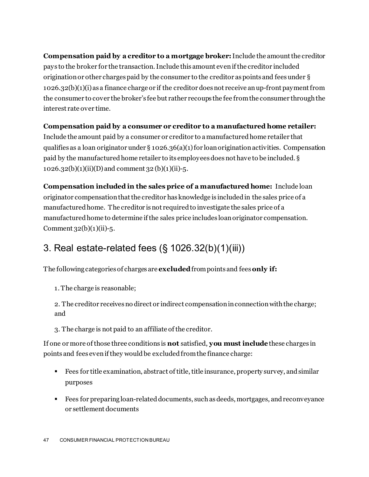**Compensation paid by a creditor to a mortgage broker:**Include the amount the creditor pays to the broker for the transaction. Include this amount even if the creditor included origination or other charges paid by the consumer to the creditor as points and fees under § 1026.32(b)(1)(i) as a finance charge or if the creditor does not receive an up-front payment from the consumer to cover the broker's fee but rather recoups the fee from the consumer through the interest rate over time.

#### **Compensation paid by a consumer or creditor to a manufactured home retailer:**

Include the amount paid by a consumer or creditor to a manufactured home retailer that qualifies as a loan originator under  $\S 1026.36(a)(1)$  for loan origination activities. Compensation paid by the manufactured home retailer to its employees does not have to be included. § 1026.32(b)(1)(ii)(D) and comment 32(b)(1)(ii)-5.

**Compensation included in the sales price of a manufactured home:** Include loan originator compensation that the creditor has knowledge is included in the sales price of a manufactured home. The creditor is not required to investigate the sales price of a manufactured home to determine if the sales price includes loan originator compensation. Comment  $32(b)(1)(ii)-5$ .

#### 3. Real estate-related fees (§ 1026.32(b)(1)(iii))

The following categories of charges are **excluded**from points and fees **only if:**

1. The charge is reasonable;

2. The creditor receives no direct or indirect compensation in connection with the charge; and

3. The charge is not paid to an affiliate of the creditor.

If one or more of those three conditions is **not** satisfied, **you must include**these charges in points and fees even if they would be excluded from the finance charge:

- Fees for title examination, abstract of title, title insurance, property survey, and similar purposes
- Fees for preparing loan-related documents, such as deeds, mortgages, and reconveyance or settlement documents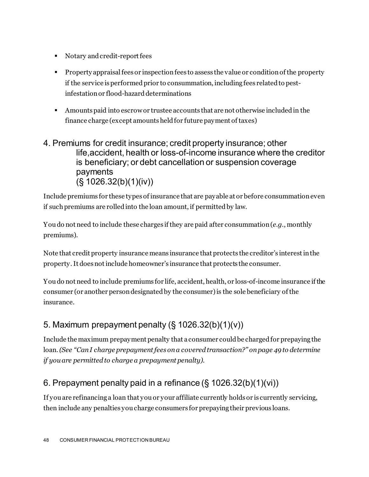- Notary and credit-report fees
- **Property appraisal fees or inspection fees to assess the value or condition of the property** if the service is performed prior to consummation, including fees related to pestinfestation or flood-hazard determinations
- Amounts paid into escrow or trustee accounts that are not otherwise included in the finance charge (except amounts held for future payment of taxes)

#### 4. Premiums for credit insurance; credit property insurance; other life,accident, health or loss-of-income insurance where the creditor is beneficiary; or debt cancellation or suspension coverage payments (§ 1026.32(b)(1)(iv))

Include premiums for these types of insurance that are payable at or before consummation even if such premiums are rolled into the loan amount, if permitted by law.

You do not need to include these charges if they are paid after consummation (*e.g.*, monthly premiums).

Note that credit property insurance means insurance that protects the creditor's interest in the property. It does not include homeowner's insurance that protects the consumer.

You do not need to include premiums for life, accident, health, or loss-of-income insurance if the consumer (or another person designated by the consumer) is the sole beneficiary of the insurance.

#### 5. Maximum prepayment penalty (§ 1026.32(b)(1)(v))

Include the maximum prepayment penalty that a consumer could be charged for prepaying the loan.*(See "Can I charge prepayment fees on a covered transaction?" on page 49 to determine if you are permitted to charge a prepayment penalty).*

#### 6. Prepayment penalty paid in a refinance (§ 1026.32(b)(1)(vi))

If you are refinancing a loan that you or your affiliate currently holds or is currently servicing, then include any penalties you charge consumers for prepaying their previous loans.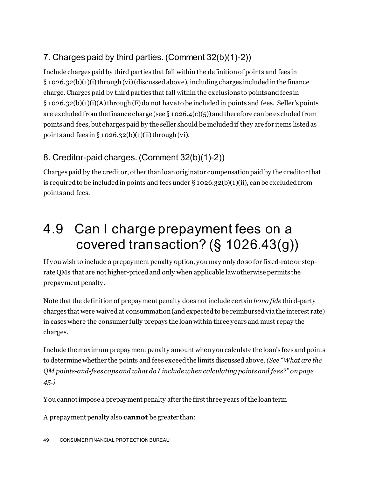#### 7. Charges paid by third parties. (Comment 32(b)(1)-2))

Include charges paid by third parties that fall within the definition of points and fees in § 1026.32(b)(1)(i) through (vi) (discussed above), including charges included in the finance charge. Charges paid by third parties that fall within the exclusions to points and fees in § 1026.32(b)(1)(i)(A) through (F) do not have to be included in points and fees. Seller's points are excluded from the finance charge (see § 1026.4(c)(5)) and therefore can be excluded from points and fees, but charges paid by the seller should be included if they are for items listed as points and fees in  $\S 1026.32(b)(1)(ii)$  through (vi).

#### 8. Creditor-paid charges. (Comment 32(b)(1)-2))

Charges paid by the creditor, other than loan originator compensation paid by the creditor that is required to be included in points and fees under  $\S 1026.32(b)(1)(ii)$ , can be excluded from points and fees.

# <span id="page-49-0"></span>4.9 Can I charge prepayment fees on a covered transaction? (§ 1026.43(g))

If you wish to include a prepayment penalty option, you may only do so for fixed-rate or steprate QMs that are not higher-priced and only when applicable law otherwise permits the prepayment penalty.

Note that the definition of prepayment penalty does not include certain *bona fide* third-party charges that were waived at consummation (and expected to be reimbursed via the interest rate) in cases where the consumer fully prepays the loan within three years and must repay the charges.

Include the maximum prepayment penalty amount when you calculate the loan's fees and points to determine whether the points and fees exceed the limits discussed above. *(See "What are the QM points-and-fees caps and what do I include when calculating points and fees?" on page 45.)*

You cannot impose a prepayment penalty after the first three years of the loan term

A prepayment penalty also **cannot** be greater than: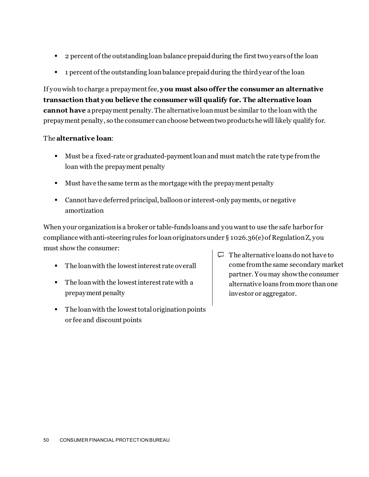- $\blacksquare$  2 percent of the outstanding loan balance prepaid during the first two years of the loan
- $\blacksquare$  1 percent of the outstanding loan balance prepaid during the third year of the loan

If you wish to charge a prepayment fee, **you must alsooffer the consumer an alternative transaction that you believe the consumer will qualify for. The alternative loan cannot have** a prepayment penalty. The alternative loan must be similar to the loan with the prepayment penalty, so the consumer can choose between two products he will likely qualify for.

#### The **alternative loan**:

- Must be a fixed-rate or graduated-payment loan and must match the rate type from the loan with the prepayment penalty
- Must have the same term as the mortgage with the prepayment penalty
- Cannot have deferred principal, balloon or interest-only payments, or negative amortization

When your organization is a broker or table-funds loans and you want to use the safe harbor for compliance with anti-steering rules for loan originators under § 1026.36(e) of Regulation Z, you must show the consumer:

- The loan with the lowest interest rate overall
- The loan with the lowest interest rate with a prepayment penalty
- The loan with the lowest total origination points or fee and discount points
- $\Box$  The alternative loans do not have to come from the same secondary market partner. You may show the consumer alternative loans from more than one investor or aggregator.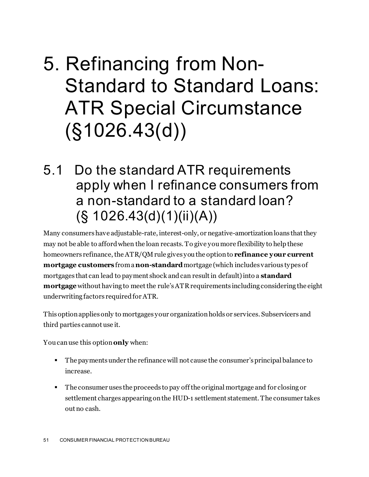# 5. Refinancing from Non-Standard to Standard Loans: ATR Special Circumstance (§1026.43(d))

## 5.1 Do the standard ATR requirements apply when I refinance consumers from a non-standard to a standard loan? (§ 1026.43(d)(1)(ii)(A))

Many consumers have adjustable-rate, interest-only, or negative-amortization loans that they may not be able to afford when the loan recasts. To give you more flexibility to help these homeowners refinance, the ATR/QM rule gives you the option to **refinance your current mortgage customers** from a **non-standard**mortgage (which includes various types of mortgages that can lead to payment shock and can result in default) into a **standard mortgage**without having to meet the rule's ATR requirements including considering the eight underwriting factors required for ATR.

This option applies only to mortgages your organization holds or services. Subservicers and third parties cannot use it.

You can use this option **only** when:

- The payments under the refinance will not cause the consumer's principal balance to increase.
- The consumer uses the proceeds to pay off the original mortgage and for closing or settlement charges appearing on the HUD-1 settlement statement. The consumer takes out no cash.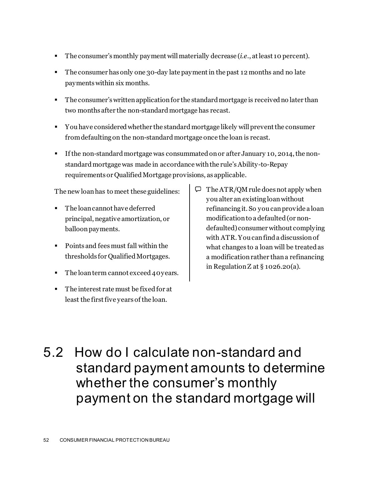- The consumer's monthly payment will materially decrease (*i.e.*, at least 10 percent).
- The consumer has only one 30-day late payment in the past 12 months and no late payments within six months.
- The consumer's written application for the standard mortgage is received no later than two months after the non-standard mortgage has recast.
- You have considered whether the standard mortgage likely will prevent the consumer from defaulting on the non-standard mortgage once the loan is recast.
- If the non-standard mortgage was consummated on or after January 10, 2014, the nonstandard mortgage was made in accordance with the rule's Ability-to-Repay requirements or Qualified Mortgage provisions, as applicable.

The new loan has to meet these guidelines:

- The loan cannot have deferred principal, negative amortization, or balloon payments.
- Points and fees must fall within the thresholds for Qualified Mortgages.
- The loan term cannot exceed 40 years.
- The interest rate must be fixed for at least the first five years of the loan.
- $\Box$  The ATR/QM rule does not apply when you alter an existing loan without refinancing it. So you can provide a loan modification to a defaulted (or nondefaulted) consumer without complying with ATR. You can find a discussion of what changes to a loan will be treated as a modification rather than a refinancing in Regulation Z at  $\S$  1026.20(a).

5.2 How do I calculate non-standard and standard payment amounts to determine whether the consumer's monthly payment on the standard mortgage will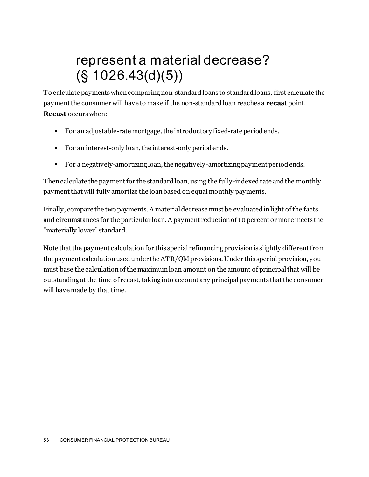# represent a material decrease? (§ 1026.43(d)(5))

To calculate payments when comparing non-standard loans to standard loans, first calculate the payment the consumer will have to make if the non-standard loan reaches a **recast** point. **Recast** occurs when:

- For an adjustable-rate mortgage, the introductory fixed-rate period ends.
- For an interest-only loan, the interest-only period ends.
- For a negatively-amortizing loan, the negatively-amortizing payment period ends.

Then calculate the payment for the standard loan, using the fully-indexed rate and the monthly payment that will fully amortize the loan based on equal monthly payments.

Finally, compare the two payments. A material decrease must be evaluated in light of the facts and circumstances for the particular loan. A payment reduction of 10 percent or more meets the "materially lower" standard.

Note that the payment calculation for this special refinancing provision is slightly different from the payment calculation used under the ATR/QM provisions. Under this special provision, you must base the calculation of the maximum loan amount on the amount of principal that will be outstanding at the time of recast, taking into account any principal payments that the consumer will have made by that time.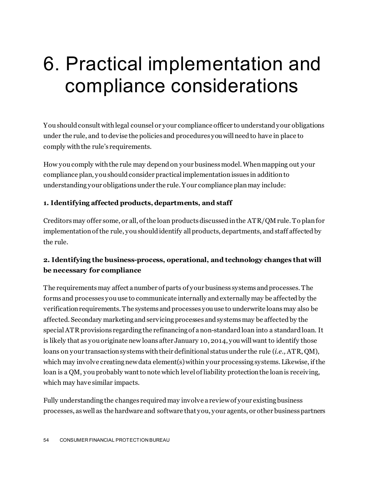# 6. Practical implementation and compliance considerations

You should consult with legal counsel or your compliance officer to understand your obligations under the rule, and to devise the policies and procedures you will need to have in place to comply with the rule's requirements.

How you comply with the rule may depend on your business model. When mapping out your compliance plan, you should consider practical implementation issues in addition to understanding your obligations under the rule. Your compliance plan may include:

#### **1. Identifying affected products, departments, and staff**

Creditors may offer some, or all, of the loan products discussed in the ATR/QM rule. To plan for implementation of the rule, you should identify all products, departments, and staff affected by the rule.

#### **2. Identifying the business-process, operational, and technology changes that will be necessary for compliance**

The requirements may affect a number of parts of your business systems and processes. The forms and processes you use to communicate internally and externally may be affected by the verification requirements. The systems and processes you use to underwrite loans may also be affected. Secondary marketing and servicing processes and systems may be affected by the special ATR provisions regarding the refinancing of a non-standard loan into a standard loan. It is likely that as you originate new loans after January 10, 2014, you will want to identify those loans on your transaction systems with their definitional status under the rule (*i.e.,*ATR, QM), which may involve creating new data element(s) within your processing systems. Likewise, if the loan is a QM, you probably want to note which level of liability protection the loan is receiving, which may have similar impacts.

Fully understanding the changes required may involve a review of your existing business processes, as well as the hardware and software that you, your agents, or other business partners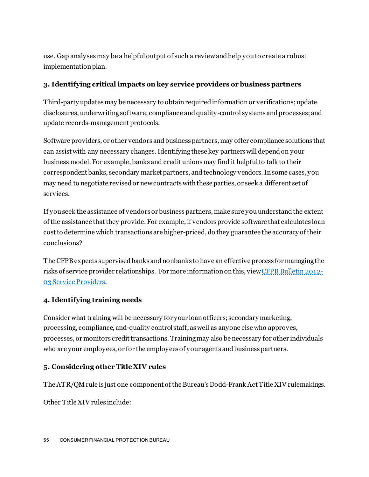use. Gap analyses may be a helpful output of such a review and help you to create a robust implementation plan.

#### **3. Identifying critical impacts on key service providers or business partners**

Third-party updates may be necessary to obtain required information or verifications;update disclosures, underwriting software, compliance and quality-control systems and processes; and update records-management protocols.

Software providers, or other vendors and business partners, may offer compliance solutions that can assist with any necessary changes. Identifying these key partners will depend on your business model. For example, banks and credit unions may find it helpful to talk to their correspondent banks, secondary market partners, and technology vendors. In some cases, you may need to negotiate revised or new contracts with these parties, or seek a different set of services.

If you seek the assistance of vendors or business partners, make sure you understand the extent of the assistance that they provide. For example, if vendors provide software that calculates loan cost to determine which transactions are higher-priced, do they guarantee the accuracy of their conclusions?

The CFPB expects supervised banks and nonbanks to have an effective process for managing the risks of service provider relationships. For more information on this, vie[w CFPB Bulletin 2012-](http://files.consumerfinance.gov/f/201204_cfpb_bulletin_service-providers.pdf) [03 Service Providers](http://files.consumerfinance.gov/f/201204_cfpb_bulletin_service-providers.pdf).

#### **4. Identifying training needs**

Consider what training will be necessary for your loan officers; secondary marketing, processing, compliance, and-quality control staff; as well as anyone else who approves, processes, or monitors credit transactions. Training may also be necessary for other individuals who are your employees, or for the employees of your agents and business partners.

#### **5. Considering other Title XIV rules**

The ATR/QM rule is just one component of the Bureau's Dodd-Frank Act Title XIV rulemakings.

Other Title XIV rules include: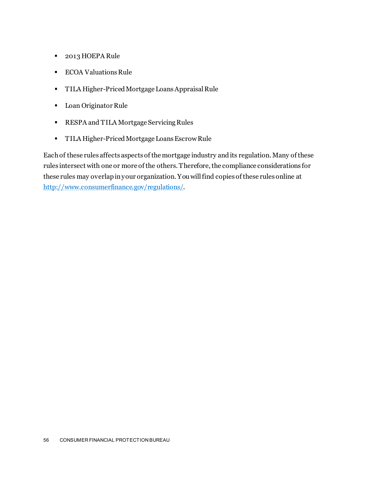- **2013 HOEPA Rule**
- ECOA Valuations Rule
- TILA Higher-Priced Mortgage Loans Appraisal Rule
- Loan Originator Rule
- **RESPA and TILA Mortgage Servicing Rules**
- TILA Higher-Priced Mortgage Loans Escrow Rule

Each of these rules affects aspects of the mortgage industry and its regulation. Many of these rules intersect with one or more of the others. Therefore, the compliance considerations for these rules may overlap in your organization. You will find copies of these rules online at <http://www.consumerfinance.gov/regulations/>.